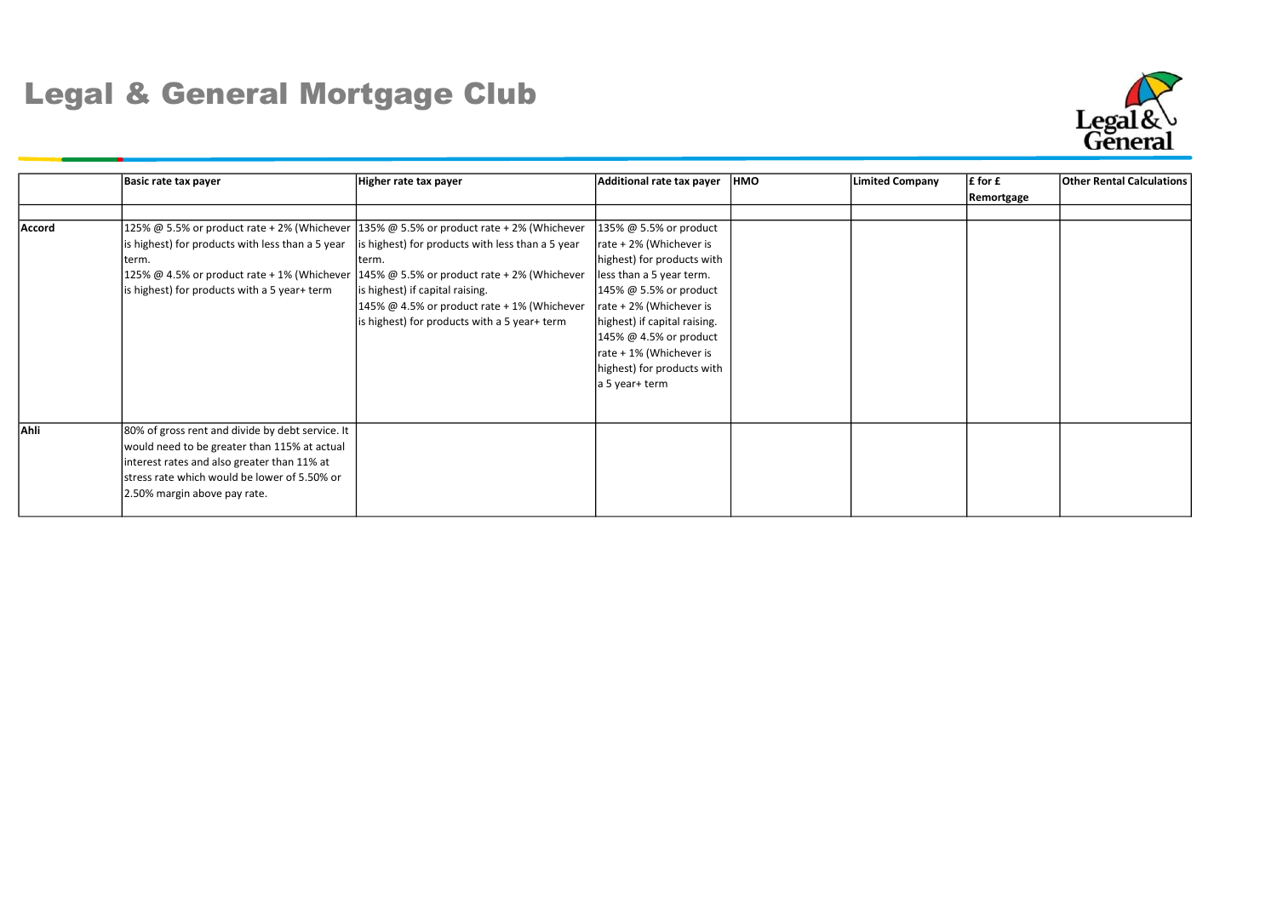## Legal & General Mortgage Club

|               | <b>Basic rate tax payer</b>                      | Higher rate tax payer                                                                     | Additional rate tax payer    | <b>HMO</b> | <b>Limited Company</b> | $\mathsfsf{f}$ for $\mathsf{f}$ | <b>Other Rental Calculations</b> |
|---------------|--------------------------------------------------|-------------------------------------------------------------------------------------------|------------------------------|------------|------------------------|---------------------------------|----------------------------------|
|               |                                                  |                                                                                           |                              |            |                        | Remortgage                      |                                  |
|               |                                                  |                                                                                           |                              |            |                        |                                 |                                  |
| <b>Accord</b> |                                                  | 125% @ 5.5% or product rate + 2% (Whichever 135% @ 5.5% or product rate + 2% (Whichever   | 135% @ 5.5% or product       |            |                        |                                 |                                  |
|               | is highest) for products with less than a 5 year | is highest) for products with less than a 5 year                                          | rate + 2% (Whichever is      |            |                        |                                 |                                  |
|               | term.                                            | term.                                                                                     | highest) for products with   |            |                        |                                 |                                  |
|               |                                                  | 125% @ 4.5% or product rate + 1% (Whichever   145% @ 5.5% or product rate + 2% (Whichever | less than a 5 year term.     |            |                        |                                 |                                  |
|               | is highest) for products with a 5 year+ term     | is highest) if capital raising.                                                           | $145\%$ @ 5.5% or product    |            |                        |                                 |                                  |
|               |                                                  | 145% @ 4.5% or product rate $+1$ % (Whichever                                             | rate + 2% (Whichever is      |            |                        |                                 |                                  |
|               |                                                  | is highest) for products with a 5 year+ term                                              | highest) if capital raising. |            |                        |                                 |                                  |
|               |                                                  |                                                                                           | $145\%$ @ 4.5% or product    |            |                        |                                 |                                  |
|               |                                                  |                                                                                           | $rate + 1%$ (Whichever is    |            |                        |                                 |                                  |
|               |                                                  |                                                                                           | highest) for products with   |            |                        |                                 |                                  |
|               |                                                  |                                                                                           | a 5 year+ term               |            |                        |                                 |                                  |
|               |                                                  |                                                                                           |                              |            |                        |                                 |                                  |
|               |                                                  |                                                                                           |                              |            |                        |                                 |                                  |
| Ahli          | 80% of gross rent and divide by debt service. It |                                                                                           |                              |            |                        |                                 |                                  |
|               | would need to be greater than 115% at actual     |                                                                                           |                              |            |                        |                                 |                                  |
|               | interest rates and also greater than 11% at      |                                                                                           |                              |            |                        |                                 |                                  |
|               | stress rate which would be lower of 5.50% or     |                                                                                           |                              |            |                        |                                 |                                  |
|               | 2.50% margin above pay rate.                     |                                                                                           |                              |            |                        |                                 |                                  |
|               |                                                  |                                                                                           |                              |            |                        |                                 |                                  |

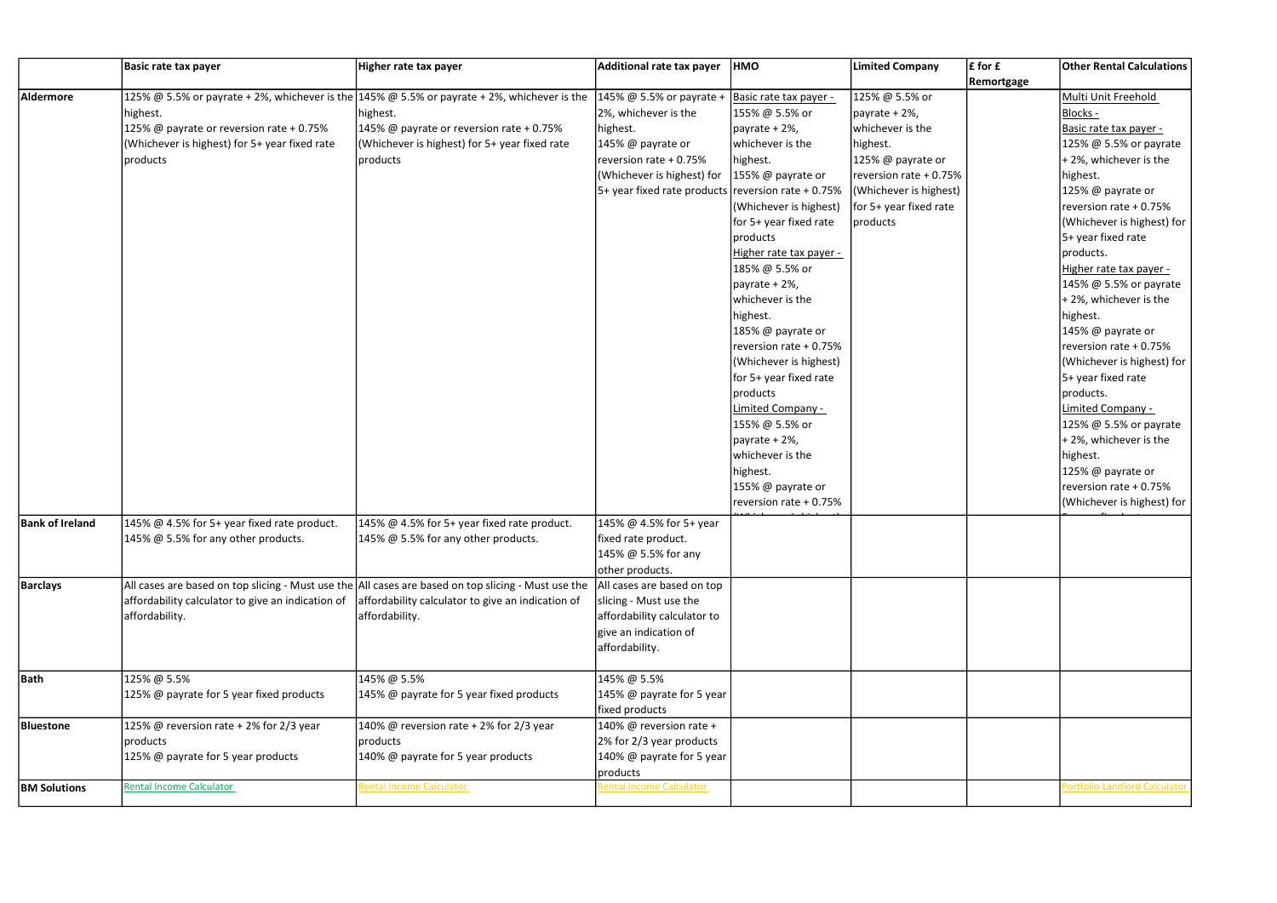|                        | <b>Basic rate tax payer</b>                       | Higher rate tax payer                                                                               | <b>Additional rate tax payer</b>                   | <b>HMO</b>               | <b>Limited Company</b> | $\mathsfsf$ for $\mathsf f$ | <b>Other Rental Calculations</b>     |
|------------------------|---------------------------------------------------|-----------------------------------------------------------------------------------------------------|----------------------------------------------------|--------------------------|------------------------|-----------------------------|--------------------------------------|
|                        |                                                   |                                                                                                     |                                                    |                          |                        | Remortgage                  |                                      |
| <b>Aldermore</b>       |                                                   | 125% @ 5.5% or payrate + 2%, whichever is the $ 145\%$ @ 5.5% or payrate + 2%, whichever is the     | 145% @ 5.5% or payrate +                           | Basic rate tax payer -   | 125% @ 5.5% or         |                             | Multi Unit Freehold                  |
|                        | highest.                                          | highest.                                                                                            | 2%, whichever is the                               | 155% @ 5.5% or           | payrate + 2%,          |                             | Blocks -                             |
|                        | 125% @ payrate or reversion rate + 0.75%          | 145% @ payrate or reversion rate + 0.75%                                                            | highest.                                           | payrate + 2%,            | whichever is the       |                             | Basic rate tax payer -               |
|                        | (Whichever is highest) for 5+ year fixed rate     | (Whichever is highest) for 5+ year fixed rate                                                       | 145% @ payrate or                                  | whichever is the         | highest.               |                             | 125% @ 5.5% or payrate               |
|                        | products                                          | products                                                                                            | reversion rate + 0.75%                             | highest.                 | 125% @ payrate or      |                             | $+2\%$ , whichever is the            |
|                        |                                                   |                                                                                                     | (Whichever is highest) for                         | 155% @ payrate or        | reversion rate + 0.75% |                             | highest.                             |
|                        |                                                   |                                                                                                     | 5+ year fixed rate products reversion rate + 0.75% |                          | (Whichever is highest) |                             | 125% @ payrate or                    |
|                        |                                                   |                                                                                                     |                                                    | (Whichever is highest)   | for 5+ year fixed rate |                             | reversion rate + 0.75%               |
|                        |                                                   |                                                                                                     |                                                    | for 5+ year fixed rate   | products               |                             | (Whichever is highest) for           |
|                        |                                                   |                                                                                                     |                                                    | products                 |                        |                             | $5+$ year fixed rate                 |
|                        |                                                   |                                                                                                     |                                                    | Higher rate tax payer -  |                        |                             | products.                            |
|                        |                                                   |                                                                                                     |                                                    | 185% @ 5.5% or           |                        |                             | Higher rate tax payer -              |
|                        |                                                   |                                                                                                     |                                                    | payrate + 2%,            |                        |                             | 145% @ 5.5% or payrate               |
|                        |                                                   |                                                                                                     |                                                    | whichever is the         |                        |                             | +2%, whichever is the                |
|                        |                                                   |                                                                                                     |                                                    | highest.                 |                        |                             | highest.                             |
|                        |                                                   |                                                                                                     |                                                    | 185% @ payrate or        |                        |                             | 145% @ payrate or                    |
|                        |                                                   |                                                                                                     |                                                    | reversion rate + 0.75%   |                        |                             | reversion rate + 0.75%               |
|                        |                                                   |                                                                                                     |                                                    | (Whichever is highest)   |                        |                             | (Whichever is highest) for           |
|                        |                                                   |                                                                                                     |                                                    | for 5+ year fixed rate   |                        |                             | $ 5+$ year fixed rate                |
|                        |                                                   |                                                                                                     |                                                    | products                 |                        |                             | products.                            |
|                        |                                                   |                                                                                                     |                                                    | <b>Limited Company -</b> |                        |                             | Limited Company -                    |
|                        |                                                   |                                                                                                     |                                                    | 155% @ 5.5% or           |                        |                             | 125% @ 5.5% or payrate               |
|                        |                                                   |                                                                                                     |                                                    | payrate + 2%,            |                        |                             | + 2%, whichever is the               |
|                        |                                                   |                                                                                                     |                                                    | whichever is the         |                        |                             | highest.                             |
|                        |                                                   |                                                                                                     |                                                    | highest.                 |                        |                             | 125% @ payrate or                    |
|                        |                                                   |                                                                                                     |                                                    | 155% @ payrate or        |                        |                             | reversion rate + 0.75%               |
|                        |                                                   |                                                                                                     |                                                    | reversion rate + 0.75%   |                        |                             | (Whichever is highest) for           |
| <b>Bank of Ireland</b> | 145% @ 4.5% for 5+ year fixed rate product.       | 145% @ 4.5% for 5+ year fixed rate product.                                                         | 145% @ 4.5% for 5+ year                            |                          |                        |                             |                                      |
|                        | 145% @ 5.5% for any other products.               | 145% @ 5.5% for any other products.                                                                 | fixed rate product.                                |                          |                        |                             |                                      |
|                        |                                                   |                                                                                                     | 145% @ 5.5% for any                                |                          |                        |                             |                                      |
|                        |                                                   |                                                                                                     | other products.                                    |                          |                        |                             |                                      |
| <b>Barclays</b>        |                                                   | All cases are based on top slicing - Must use the All cases are based on top slicing - Must use the | All cases are based on top                         |                          |                        |                             |                                      |
|                        | affordability calculator to give an indication of | affordability calculator to give an indication of                                                   | slicing - Must use the                             |                          |                        |                             |                                      |
|                        | affordability.                                    | affordability.                                                                                      | affordability calculator to                        |                          |                        |                             |                                      |
|                        |                                                   |                                                                                                     | give an indication of                              |                          |                        |                             |                                      |
|                        |                                                   |                                                                                                     | affordability.                                     |                          |                        |                             |                                      |
| Bath                   | 125% @ 5.5%                                       | 145% @ 5.5%                                                                                         | 145% @ 5.5%                                        |                          |                        |                             |                                      |
|                        | 125% @ payrate for 5 year fixed products          | 145% @ payrate for 5 year fixed products                                                            | 145% @ payrate for 5 year                          |                          |                        |                             |                                      |
|                        |                                                   |                                                                                                     | fixed products                                     |                          |                        |                             |                                      |
| <b>Bluestone</b>       | 125% @ reversion rate + 2% for 2/3 year           | 140% @ reversion rate + 2% for 2/3 year                                                             | 140% @ reversion rate +                            |                          |                        |                             |                                      |
|                        | products                                          | products                                                                                            | $2\%$ for 2/3 year products                        |                          |                        |                             |                                      |
|                        | 125% @ payrate for 5 year products                | 140% @ payrate for 5 year products                                                                  | 140% @ payrate for 5 year                          |                          |                        |                             |                                      |
|                        |                                                   |                                                                                                     | products                                           |                          |                        |                             |                                      |
| <b>BM Solutions</b>    | <b>Rental Income Calculator</b>                   | Rental Income Calculator                                                                            | ental Income Calculator                            |                          |                        |                             | <b>Portfolio Landlord Calculator</b> |
|                        |                                                   |                                                                                                     |                                                    |                          |                        |                             |                                      |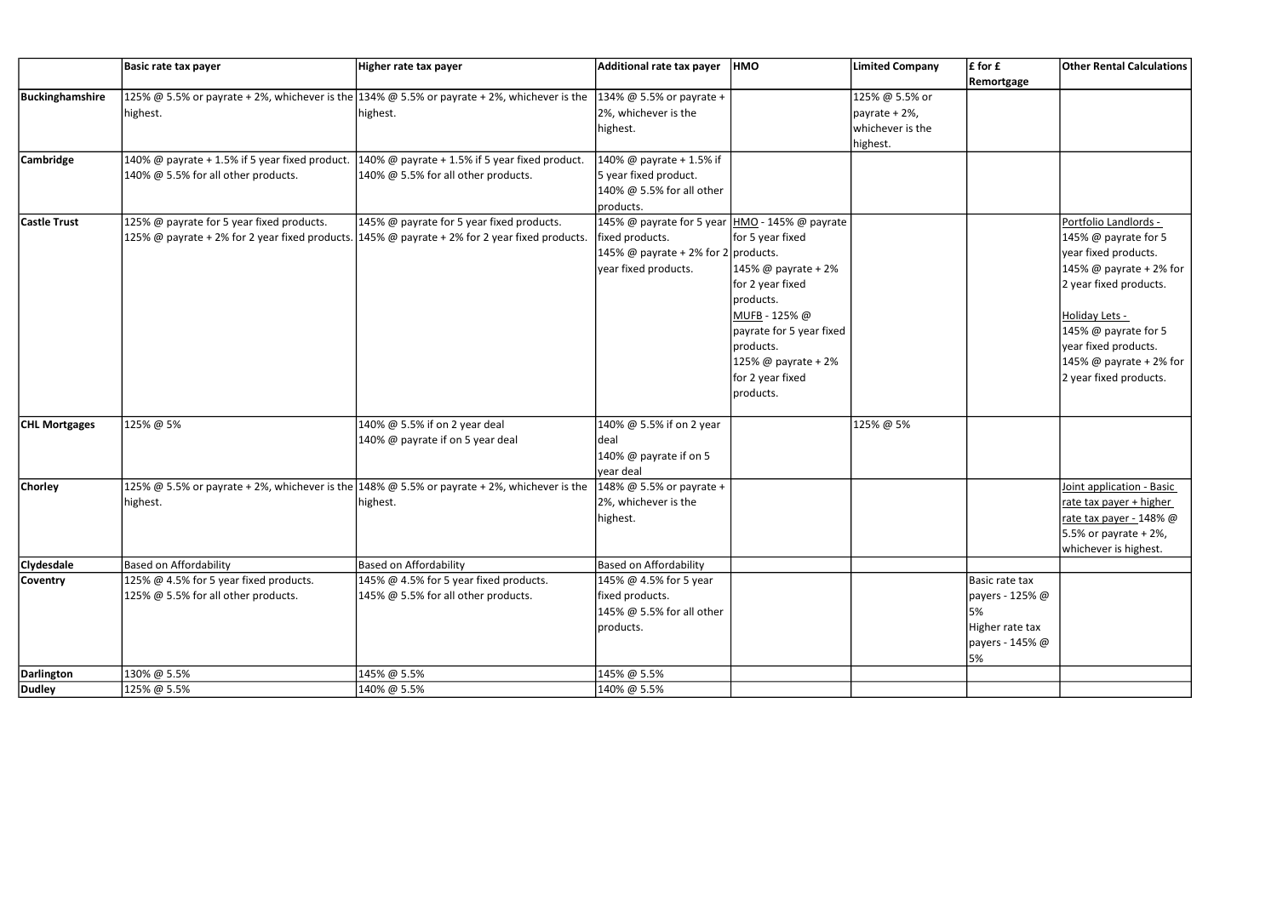|                      | <b>Basic rate tax payer</b>                    | Higher rate tax payer                                                                           | Additional rate tax payer                        | <b>HMO</b>               | Limited Company  | $\mathbf{f}$ for $\mathbf{f}$ | <b>Other Rental Calculations</b> |
|----------------------|------------------------------------------------|-------------------------------------------------------------------------------------------------|--------------------------------------------------|--------------------------|------------------|-------------------------------|----------------------------------|
|                      |                                                |                                                                                                 |                                                  |                          |                  | <b>Remortgage</b>             |                                  |
| Buckinghamshire      |                                                | 125% @ 5.5% or payrate + 2%, whichever is the 134% @ 5.5% or payrate + 2%, whichever is the     | 134% @ 5.5% or payrate +                         |                          | 125% @ 5.5% or   |                               |                                  |
|                      | highest.                                       | highest.                                                                                        | 2%, whichever is the                             |                          | payrate + 2%,    |                               |                                  |
|                      |                                                |                                                                                                 | highest.                                         |                          | whichever is the |                               |                                  |
|                      |                                                |                                                                                                 |                                                  |                          | highest.         |                               |                                  |
| Cambridge            | 140% @ payrate + 1.5% if 5 year fixed product. | 140% @ payrate + 1.5% if 5 year fixed product.                                                  | 140% @ payrate + 1.5% if                         |                          |                  |                               |                                  |
|                      | 140% @ 5.5% for all other products.            | 140% @ 5.5% for all other products.                                                             | 5 year fixed product.                            |                          |                  |                               |                                  |
|                      |                                                |                                                                                                 | 140% @ 5.5% for all other                        |                          |                  |                               |                                  |
|                      |                                                |                                                                                                 | products.                                        |                          |                  |                               |                                  |
| <b>Castle Trust</b>  | 125% @ payrate for 5 year fixed products.      | 145% @ payrate for 5 year fixed products.                                                       | 145% @ payrate for 5 year   HMO - 145% @ payrate |                          |                  |                               | Portfolio Landlords -            |
|                      |                                                | 125% @ payrate + 2% for 2 year fixed products. 145% @ payrate + 2% for 2 year fixed products.   | fixed products.                                  | for 5 year fixed         |                  |                               | 145% @ payrate for 5             |
|                      |                                                |                                                                                                 | 145% @ payrate + 2% for 2 products.              |                          |                  |                               | year fixed products.             |
|                      |                                                |                                                                                                 | year fixed products.                             | 145% @ payrate + 2%      |                  |                               | 145% @ payrate + 2% for          |
|                      |                                                |                                                                                                 |                                                  | for 2 year fixed         |                  |                               | 2 year fixed products.           |
|                      |                                                |                                                                                                 |                                                  | products.                |                  |                               |                                  |
|                      |                                                |                                                                                                 |                                                  | MUFB - 125% @            |                  |                               | Holiday Lets -                   |
|                      |                                                |                                                                                                 |                                                  | payrate for 5 year fixed |                  |                               | 145% @ payrate for 5             |
|                      |                                                |                                                                                                 |                                                  | products.                |                  |                               | year fixed products.             |
|                      |                                                |                                                                                                 |                                                  | 125% @ payrate + 2%      |                  |                               | 145% @ payrate + 2% for          |
|                      |                                                |                                                                                                 |                                                  | for 2 year fixed         |                  |                               | 2 year fixed products.           |
|                      |                                                |                                                                                                 |                                                  | products.                |                  |                               |                                  |
|                      |                                                |                                                                                                 |                                                  |                          |                  |                               |                                  |
| <b>CHL Mortgages</b> | 125% @ 5%                                      | 140% @ 5.5% if on 2 year deal                                                                   | 140% @ 5.5% if on 2 year                         |                          | 125% @ 5%        |                               |                                  |
|                      |                                                | 140% @ payrate if on 5 year deal                                                                | deal                                             |                          |                  |                               |                                  |
|                      |                                                |                                                                                                 | 140% @ payrate if on 5                           |                          |                  |                               |                                  |
|                      |                                                |                                                                                                 | year deal                                        |                          |                  |                               |                                  |
| <b>Chorley</b>       |                                                | 125% @ 5.5% or payrate + 2%, whichever is the $ 148\%$ @ 5.5% or payrate + 2%, whichever is the | $148\%$ @ 5.5% or payrate +                      |                          |                  |                               | Joint application - Basic        |
|                      | highest.                                       | highest.                                                                                        | 2%, whichever is the                             |                          |                  |                               | rate tax payer + higher          |
|                      |                                                |                                                                                                 | highest.                                         |                          |                  |                               | rate tax payer - 148% @          |
|                      |                                                |                                                                                                 |                                                  |                          |                  |                               | $5.5%$ or payrate + 2%,          |
|                      |                                                |                                                                                                 |                                                  |                          |                  |                               | whichever is highest.            |
| <b>Clydesdale</b>    | <b>Based on Affordability</b>                  | Based on Affordability                                                                          | Based on Affordability                           |                          |                  |                               |                                  |
| Coventry             | 125% @ 4.5% for 5 year fixed products.         | 145% $\omega$ 4.5% for 5 year fixed products.                                                   | 145% @ 4.5% for 5 year                           |                          |                  | Basic rate tax                |                                  |
|                      | 125% @ 5.5% for all other products.            | 145% @ 5.5% for all other products.                                                             | fixed products.                                  |                          |                  | payers - 125% @               |                                  |
|                      |                                                |                                                                                                 | 145% @ 5.5% for all other                        |                          |                  | 5%                            |                                  |
|                      |                                                |                                                                                                 | products.                                        |                          |                  | Higher rate tax               |                                  |
|                      |                                                |                                                                                                 |                                                  |                          |                  | payers - 145% @               |                                  |
|                      |                                                |                                                                                                 |                                                  |                          |                  | 5%                            |                                  |
| Darlington           | 130% @ 5.5%                                    | 145% @ 5.5%                                                                                     | 145% @ 5.5%                                      |                          |                  |                               |                                  |
| <b>Dudley</b>        | 125% @ 5.5%                                    | 140% @ 5.5%                                                                                     | 140% @ 5.5%                                      |                          |                  |                               |                                  |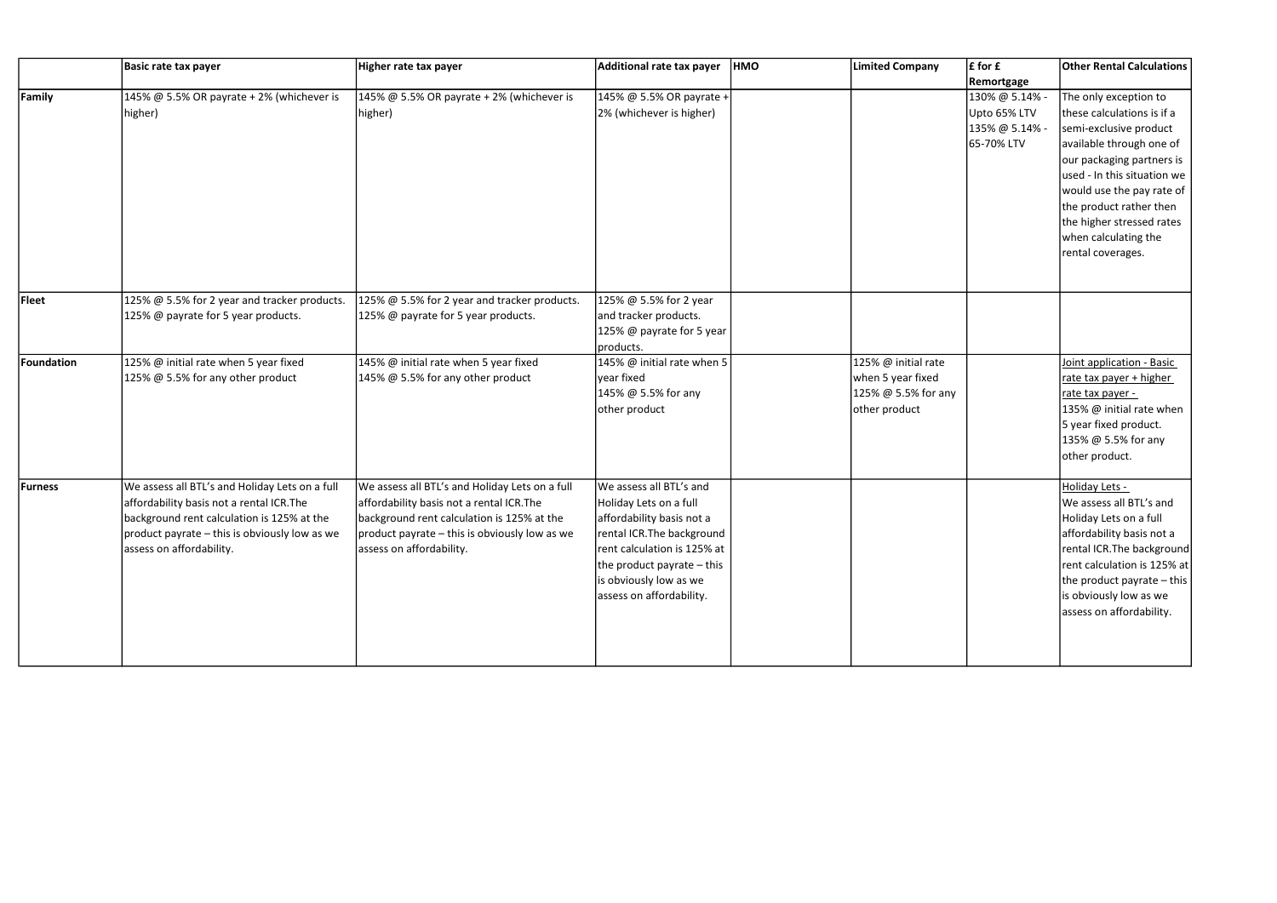|            | <b>Basic rate tax payer</b>                                                                                                                                                                                            | Higher rate tax payer                                                                                                                                                                                                  | Additional rate tax payer                                                                                                                                                                                                       | HMO | <b>Limited Company</b>                                                           | $\mathbf{f}$ for $\mathbf{f}$                                  | <b>Other Rental Calculations</b>                                                                                                                                                                                                                                                                        |
|------------|------------------------------------------------------------------------------------------------------------------------------------------------------------------------------------------------------------------------|------------------------------------------------------------------------------------------------------------------------------------------------------------------------------------------------------------------------|---------------------------------------------------------------------------------------------------------------------------------------------------------------------------------------------------------------------------------|-----|----------------------------------------------------------------------------------|----------------------------------------------------------------|---------------------------------------------------------------------------------------------------------------------------------------------------------------------------------------------------------------------------------------------------------------------------------------------------------|
|            |                                                                                                                                                                                                                        |                                                                                                                                                                                                                        |                                                                                                                                                                                                                                 |     |                                                                                  | <b>Remortgage</b>                                              |                                                                                                                                                                                                                                                                                                         |
| Family     | 145% @ 5.5% OR payrate + 2% (whichever is<br>higher)                                                                                                                                                                   | 145% @ 5.5% OR payrate + 2% (whichever is<br>higher)                                                                                                                                                                   | 145% @ 5.5% OR payrate +<br>2% (whichever is higher)                                                                                                                                                                            |     |                                                                                  | 130% @ 5.14% -<br>Upto 65% LTV<br>135% @ 5.14% -<br>65-70% LTV | The only exception to<br>these calculations is if a<br>semi-exclusive product<br>available through one of<br>our packaging partners is<br>used - In this situation we<br>would use the pay rate of<br>the product rather then<br>the higher stressed rates<br>when calculating the<br>rental coverages. |
| Fleet      | 125% @ 5.5% for 2 year and tracker products.<br>125% @ payrate for 5 year products.                                                                                                                                    | 125% @ 5.5% for 2 year and tracker products.<br>125% @ payrate for 5 year products.                                                                                                                                    | 125% @ 5.5% for 2 year<br>and tracker products.<br>125% @ payrate for 5 year<br>products.                                                                                                                                       |     |                                                                                  |                                                                |                                                                                                                                                                                                                                                                                                         |
| Foundation | 125% @ initial rate when 5 year fixed<br>125% @ 5.5% for any other product                                                                                                                                             | 145% @ initial rate when 5 year fixed<br>145% @ 5.5% for any other product                                                                                                                                             | 145% @ initial rate when 5<br>year fixed<br>145% @ 5.5% for any<br>other product                                                                                                                                                |     | 125% @ initial rate<br>when 5 year fixed<br>125% @ 5.5% for any<br>other product |                                                                | Joint application - Basic<br>rate tax payer + higher<br>rate tax payer -<br>135% @ initial rate when<br>5 year fixed product.<br>135% @ 5.5% for any<br>other product.                                                                                                                                  |
| Furness    | We assess all BTL's and Holiday Lets on a full<br>affordability basis not a rental ICR. The<br>background rent calculation is 125% at the<br>product payrate - this is obviously low as we<br>assess on affordability. | We assess all BTL's and Holiday Lets on a full<br>affordability basis not a rental ICR. The<br>background rent calculation is 125% at the<br>product payrate - this is obviously low as we<br>assess on affordability. | We assess all BTL's and<br>Holiday Lets on a full<br>affordability basis not a<br>rental ICR. The background<br>rent calculation is 125% at<br>the product payrate - this<br>is obviously low as we<br>assess on affordability. |     |                                                                                  |                                                                | Holiday Lets -<br>We assess all BTL's and<br>Holiday Lets on a full<br>affordability basis not a<br>rental ICR. The background<br>rent calculation is 125% at<br>the product payrate $-$ this<br>is obviously low as we<br>assess on affordability.                                                     |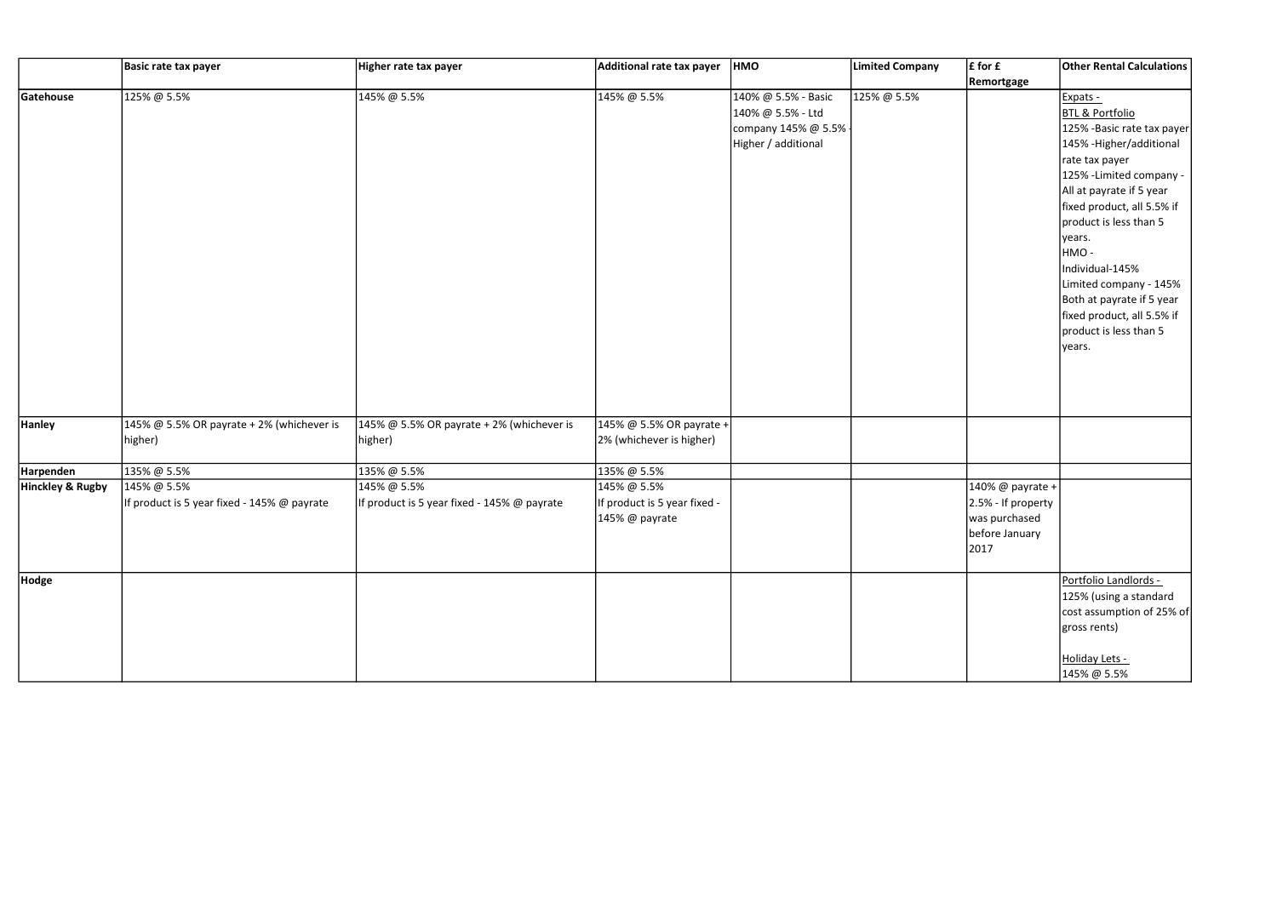|                             | Basic rate tax payer                                       | Higher rate tax payer                                      | Additional rate tax payer                                     | <b>HMO</b>                                                                               | Limited Company | $\mathsfsf{f}$ for $\mathsf{f}$                                                   | <b>Other Rental Calculations</b>                                                                                                                                                                                                                                                                                                                                                                  |
|-----------------------------|------------------------------------------------------------|------------------------------------------------------------|---------------------------------------------------------------|------------------------------------------------------------------------------------------|-----------------|-----------------------------------------------------------------------------------|---------------------------------------------------------------------------------------------------------------------------------------------------------------------------------------------------------------------------------------------------------------------------------------------------------------------------------------------------------------------------------------------------|
|                             |                                                            |                                                            |                                                               |                                                                                          |                 | <b>Remortgage</b>                                                                 |                                                                                                                                                                                                                                                                                                                                                                                                   |
| Gatehouse                   | 125% @ 5.5%                                                | 145% @ 5.5%                                                | 145% @ 5.5%                                                   | 140% @ 5.5% - Basic<br>140% @ 5.5% - Ltd<br>company 145% @ 5.5% -<br>Higher / additional | 125% @ 5.5%     |                                                                                   | Expats -<br><b>BTL &amp; Portfolio</b><br>125% - Basic rate tax payer<br>145% - Higher/additional<br>rate tax payer<br>125% - Limited company -<br>All at payrate if 5 year<br>fixed product, all 5.5% if<br>product is less than 5<br>years.<br>HMO-<br>Individual-145%<br>Limited company - 145%<br>Both at payrate if 5 year<br>fixed product, all 5.5% if<br>product is less than 5<br>years. |
| <b>Hanley</b>               | 145% @ 5.5% OR payrate + 2% (whichever is<br>higher)       | 145% @ 5.5% OR payrate + 2% (whichever is<br>higher)       | $145\%$ @ 5.5% OR payrate +<br>2% (whichever is higher)       |                                                                                          |                 |                                                                                   |                                                                                                                                                                                                                                                                                                                                                                                                   |
| Harpenden                   | 135% @ 5.5%                                                | 135% @ 5.5%                                                | 135% @ 5.5%                                                   |                                                                                          |                 |                                                                                   |                                                                                                                                                                                                                                                                                                                                                                                                   |
| <b>Hinckley &amp; Rugby</b> | 145% @ 5.5%<br>If product is 5 year fixed - 145% @ payrate | 145% @ 5.5%<br>If product is 5 year fixed - 145% @ payrate | 145% @ 5.5%<br>If product is 5 year fixed -<br>145% @ payrate |                                                                                          |                 | 140% @ payrate +<br>2.5% - If property<br>was purchased<br>before January<br>2017 |                                                                                                                                                                                                                                                                                                                                                                                                   |
| Hodge                       |                                                            |                                                            |                                                               |                                                                                          |                 |                                                                                   | Portfolio Landlords -<br>125% (using a standard<br>cost assumption of 25% of<br>gross rents)<br>Holiday Lets -<br>145% @ 5.5%                                                                                                                                                                                                                                                                     |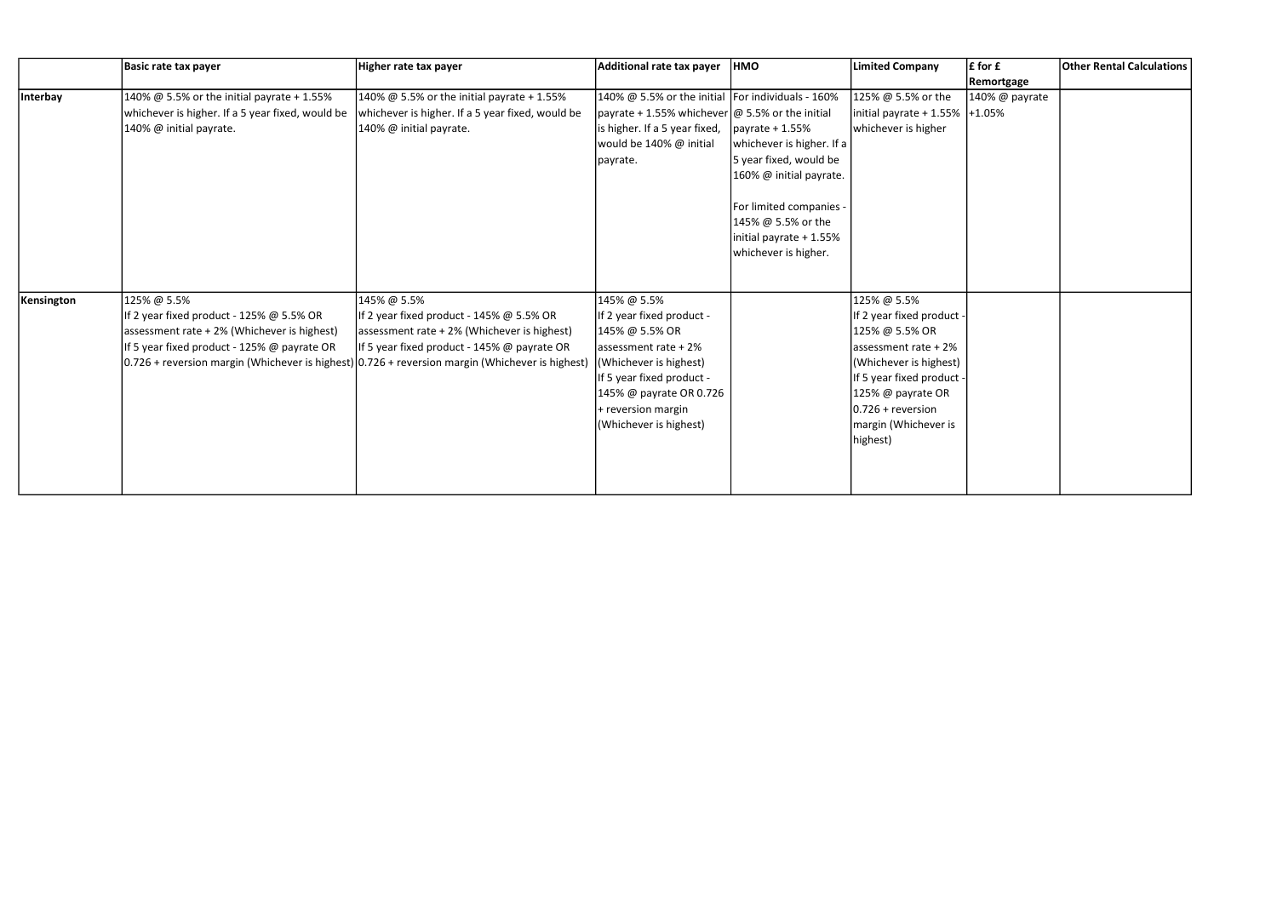|            | <b>Basic rate tax payer</b>                      | Higher rate tax payer                                                                               | <b>Additional rate tax payer</b>                                     | <b>HMO</b>                | <b>Limited Company</b>             | $\mathsfsf$ for $\mathsf f$ | <b>Other Rental Calculations</b> |
|------------|--------------------------------------------------|-----------------------------------------------------------------------------------------------------|----------------------------------------------------------------------|---------------------------|------------------------------------|-----------------------------|----------------------------------|
|            |                                                  |                                                                                                     |                                                                      |                           |                                    | <b>Remortgage</b>           |                                  |
| Interbay   | 140% $@$ 5.5% or the initial payrate + 1.55%     | 140% @ 5.5% or the initial payrate + 1.55%                                                          | $140\%$ @ 5.5% or the initial  For individuals - 160%                |                           | 125% @ 5.5% or the                 | 140% @ payrate              |                                  |
|            | whichever is higher. If a 5 year fixed, would be | whichever is higher. If a 5 year fixed, would be                                                    | $\vert$ payrate + 1.55% whichever $\vert \omega$ 5.5% or the initial |                           | initial payrate + $1.55\%$ + 1.05% |                             |                                  |
|            | 140% @ initial payrate.                          | 140% @ initial payrate.                                                                             | is higher. If a 5 year fixed,                                        | $\mu$ ayrate + 1.55%      | whichever is higher                |                             |                                  |
|            |                                                  |                                                                                                     | would be 140% @ initial                                              | whichever is higher. If a |                                    |                             |                                  |
|            |                                                  |                                                                                                     | payrate.                                                             | 5 year fixed, would be    |                                    |                             |                                  |
|            |                                                  |                                                                                                     |                                                                      | 160% @ initial payrate.   |                                    |                             |                                  |
|            |                                                  |                                                                                                     |                                                                      | For limited companies -   |                                    |                             |                                  |
|            |                                                  |                                                                                                     |                                                                      | 145% @ 5.5% or the        |                                    |                             |                                  |
|            |                                                  |                                                                                                     |                                                                      | initial payrate + 1.55%   |                                    |                             |                                  |
|            |                                                  |                                                                                                     |                                                                      | whichever is higher.      |                                    |                             |                                  |
|            |                                                  |                                                                                                     |                                                                      |                           |                                    |                             |                                  |
| Kensington | 125% @ 5.5%                                      | 145% @ 5.5%                                                                                         | 145% @ 5.5%                                                          |                           | 125% @ 5.5%                        |                             |                                  |
|            | If 2 year fixed product - 125% @ 5.5% OR         | If 2 year fixed product - $145\%$ @ 5.5% OR                                                         | If 2 year fixed product -                                            |                           | If 2 year fixed product            |                             |                                  |
|            | assessment rate + 2% (Whichever is highest)      | assessment rate + 2% (Whichever is highest)                                                         | 145% @ 5.5% OR                                                       |                           | 125% @ 5.5% OR                     |                             |                                  |
|            | If 5 year fixed product - 125% @ payrate OR      | If 5 year fixed product - 145% @ payrate OR                                                         | $\sqrt{a}$ assessment rate + 2%                                      |                           | assessment rate + 2%               |                             |                                  |
|            |                                                  | $0.726$ + reversion margin (Whichever is highest) $0.726$ + reversion margin (Whichever is highest) | (Whichever is highest)                                               |                           | (Whichever is highest)             |                             |                                  |
|            |                                                  |                                                                                                     | If 5 year fixed product -                                            |                           | If 5 year fixed product -          |                             |                                  |
|            |                                                  |                                                                                                     | 145% @ payrate OR 0.726                                              |                           | 125% @ payrate OR                  |                             |                                  |
|            |                                                  |                                                                                                     | $+$ reversion margin                                                 |                           | $0.726 + reversion$                |                             |                                  |
|            |                                                  |                                                                                                     | (Whichever is highest)                                               |                           | margin (Whichever is               |                             |                                  |
|            |                                                  |                                                                                                     |                                                                      |                           | highest)                           |                             |                                  |
|            |                                                  |                                                                                                     |                                                                      |                           |                                    |                             |                                  |
|            |                                                  |                                                                                                     |                                                                      |                           |                                    |                             |                                  |
|            |                                                  |                                                                                                     |                                                                      |                           |                                    |                             |                                  |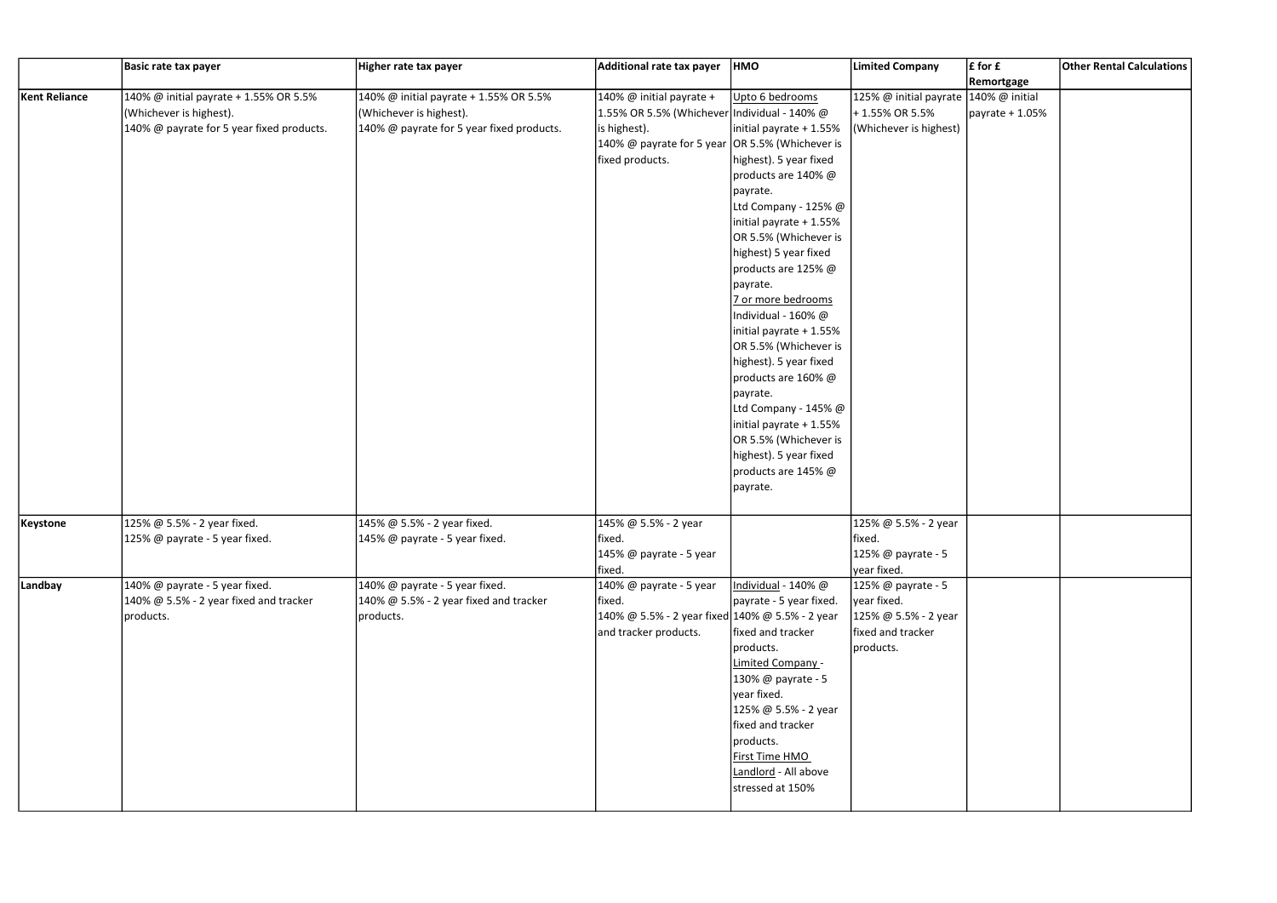|                      | <b>Basic rate tax payer</b>               | Higher rate tax payer                     | Additional rate tax payer                       | <b>HMO</b>              | <b>Limited Company</b> | $\mathbf{f}$ for $\mathbf{f}$ | <b>Other Rental Calculations</b> |
|----------------------|-------------------------------------------|-------------------------------------------|-------------------------------------------------|-------------------------|------------------------|-------------------------------|----------------------------------|
|                      |                                           |                                           |                                                 |                         |                        | <b>Remortgage</b>             |                                  |
| <b>Kent Reliance</b> | 140% @ initial payrate + 1.55% OR 5.5%    | 140% @ initial payrate + 1.55% OR 5.5%    | 140% $@$ initial payrate +                      | Upto 6 bedrooms         | 125% @ initial payrate | 140% @ initial                |                                  |
|                      | (Whichever is highest).                   | (Whichever is highest).                   | 1.55% OR 5.5% (Whichever Individual - 140% @    |                         | + 1.55% OR 5.5%        | payrate + 1.05%               |                                  |
|                      | 140% @ payrate for 5 year fixed products. | 140% @ payrate for 5 year fixed products. | is highest).                                    | initial payrate + 1.55% | (Whichever is highest) |                               |                                  |
|                      |                                           |                                           | 140% @ payrate for 5 year OR 5.5% (Whichever is |                         |                        |                               |                                  |
|                      |                                           |                                           | fixed products.                                 | highest). 5 year fixed  |                        |                               |                                  |
|                      |                                           |                                           |                                                 | products are 140% @     |                        |                               |                                  |
|                      |                                           |                                           |                                                 | payrate.                |                        |                               |                                  |
|                      |                                           |                                           |                                                 | Ltd Company - 125% @    |                        |                               |                                  |
|                      |                                           |                                           |                                                 |                         |                        |                               |                                  |
|                      |                                           |                                           |                                                 | initial payrate + 1.55% |                        |                               |                                  |
|                      |                                           |                                           |                                                 | OR 5.5% (Whichever is   |                        |                               |                                  |
|                      |                                           |                                           |                                                 | highest) 5 year fixed   |                        |                               |                                  |
|                      |                                           |                                           |                                                 | products are 125% @     |                        |                               |                                  |
|                      |                                           |                                           |                                                 | payrate.                |                        |                               |                                  |
|                      |                                           |                                           |                                                 | 7 or more bedrooms      |                        |                               |                                  |
|                      |                                           |                                           |                                                 | Individual - 160% @     |                        |                               |                                  |
|                      |                                           |                                           |                                                 | initial payrate + 1.55% |                        |                               |                                  |
|                      |                                           |                                           |                                                 | OR 5.5% (Whichever is   |                        |                               |                                  |
|                      |                                           |                                           |                                                 | highest). 5 year fixed  |                        |                               |                                  |
|                      |                                           |                                           |                                                 | products are 160% @     |                        |                               |                                  |
|                      |                                           |                                           |                                                 | payrate.                |                        |                               |                                  |
|                      |                                           |                                           |                                                 | Ltd Company - 145% @    |                        |                               |                                  |
|                      |                                           |                                           |                                                 | initial payrate + 1.55% |                        |                               |                                  |
|                      |                                           |                                           |                                                 | OR 5.5% (Whichever is   |                        |                               |                                  |
|                      |                                           |                                           |                                                 | highest). 5 year fixed  |                        |                               |                                  |
|                      |                                           |                                           |                                                 | products are 145% @     |                        |                               |                                  |
|                      |                                           |                                           |                                                 | payrate.                |                        |                               |                                  |
|                      |                                           |                                           |                                                 |                         |                        |                               |                                  |
|                      |                                           |                                           |                                                 |                         |                        |                               |                                  |
| Keystone             | 125% @ 5.5% - 2 year fixed.               | 145% @ 5.5% - 2 year fixed.               | 145% @ 5.5% - 2 year                            |                         | 125% @ 5.5% - 2 year   |                               |                                  |
|                      | 125% @ payrate - 5 year fixed.            | 145% @ payrate - 5 year fixed.            | fixed.                                          |                         | fixed.                 |                               |                                  |
|                      |                                           |                                           | $145\%$ @ payrate - 5 year                      |                         | 125% @ payrate - 5     |                               |                                  |
|                      |                                           |                                           | fixed.                                          |                         | year fixed.            |                               |                                  |
| Landbay              | 140% @ payrate - 5 year fixed.            | 140% @ payrate - 5 year fixed.            | 140% @ payrate - 5 year                         | Individual - 140% @     | 125% @ payrate - 5     |                               |                                  |
|                      | 140% $@$ 5.5% - 2 year fixed and tracker  | 140% @ 5.5% - 2 year fixed and tracker    | fixed.                                          | payrate - 5 year fixed. | year fixed.            |                               |                                  |
|                      | products.                                 | products.                                 | 140% @ 5.5% - 2 year fixed 140% @ 5.5% - 2 year |                         | 125% @ 5.5% - 2 year   |                               |                                  |
|                      |                                           |                                           | and tracker products.                           | fixed and tracker       | fixed and tracker      |                               |                                  |
|                      |                                           |                                           |                                                 | products.               | products.              |                               |                                  |
|                      |                                           |                                           |                                                 | Limited Company -       |                        |                               |                                  |
|                      |                                           |                                           |                                                 | 130% @ payrate - 5      |                        |                               |                                  |
|                      |                                           |                                           |                                                 | year fixed.             |                        |                               |                                  |
|                      |                                           |                                           |                                                 | 125% @ 5.5% - 2 year    |                        |                               |                                  |
|                      |                                           |                                           |                                                 | fixed and tracker       |                        |                               |                                  |
|                      |                                           |                                           |                                                 | products.               |                        |                               |                                  |
|                      |                                           |                                           |                                                 | <b>First Time HMO</b>   |                        |                               |                                  |
|                      |                                           |                                           |                                                 | Landlord - All above    |                        |                               |                                  |
|                      |                                           |                                           |                                                 | stressed at 150%        |                        |                               |                                  |
|                      |                                           |                                           |                                                 |                         |                        |                               |                                  |
|                      |                                           |                                           |                                                 |                         |                        |                               |                                  |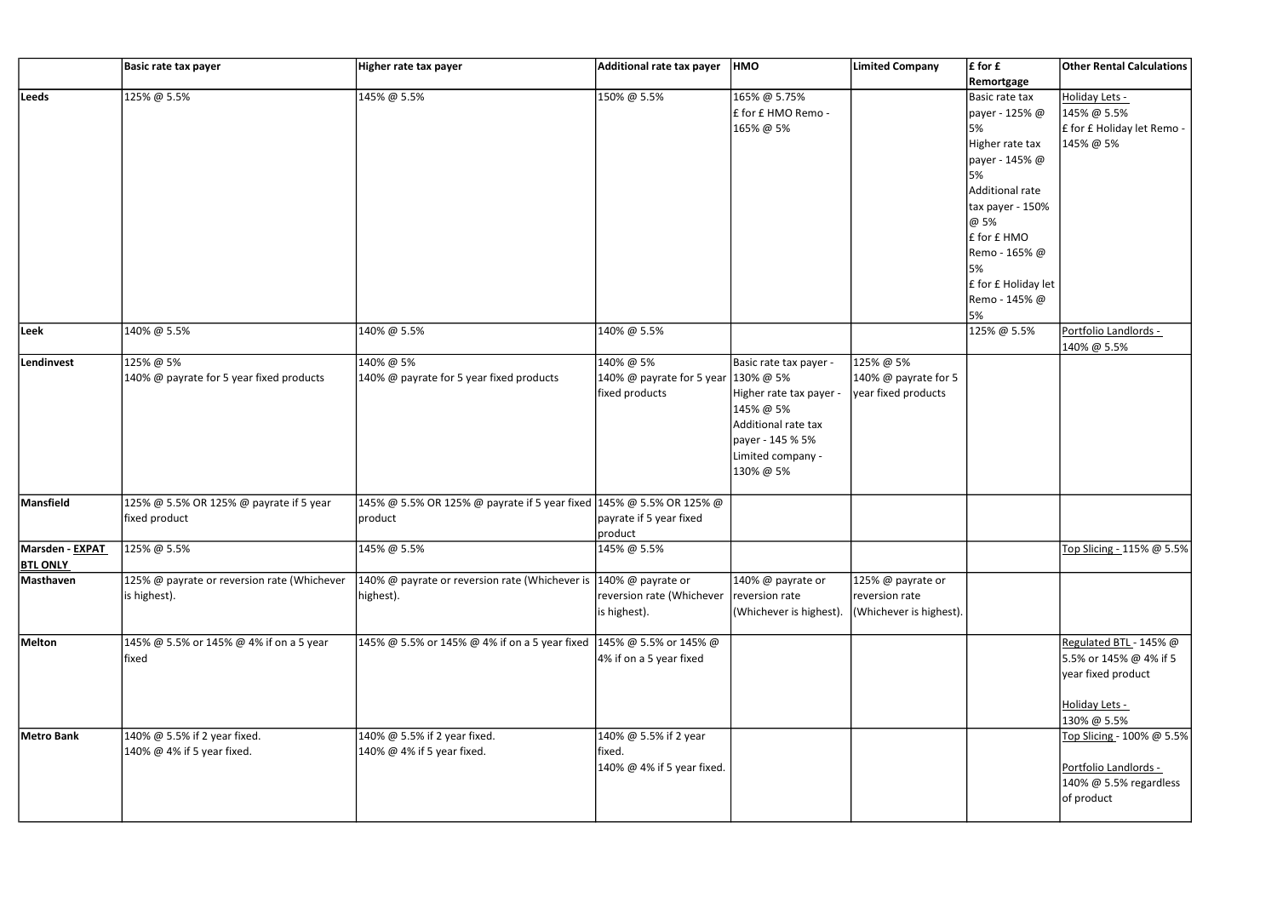|                                    | <b>Basic rate tax payer</b>                                 | Higher rate tax payer                                                            | Additional rate tax payer                                          | <b>HMO</b>                                                                                                                                  | <b>Limited Company</b>                                         | $\mathsfsf{f}$ for $\mathsf{f}$                                                                                                                                                                                      | <b>Other Rental Calculations</b>                                                                        |
|------------------------------------|-------------------------------------------------------------|----------------------------------------------------------------------------------|--------------------------------------------------------------------|---------------------------------------------------------------------------------------------------------------------------------------------|----------------------------------------------------------------|----------------------------------------------------------------------------------------------------------------------------------------------------------------------------------------------------------------------|---------------------------------------------------------------------------------------------------------|
|                                    |                                                             |                                                                                  |                                                                    |                                                                                                                                             |                                                                | Remortgage                                                                                                                                                                                                           |                                                                                                         |
| <b>Leeds</b>                       | 125% @ 5.5%                                                 | 145% @ 5.5%                                                                      | 150% @ 5.5%                                                        | 165% @ 5.75%<br>E for £ HMO Remo -<br>165% @ 5%                                                                                             |                                                                | Basic rate tax<br>payer - 125% @<br>5%<br>Higher rate tax<br>payer - 145% @<br>5%<br>Additional rate<br>tax payer - 150%<br>@ 5%<br>£ for £ HMO<br>Remo - 165% @<br>5%<br>E for £ Holiday let<br>Remo - 145% @<br>5% | Holiday Lets -<br>145% @ 5.5%<br>E for £ Holiday let Remo -<br>145% @ 5%                                |
| Leek                               | 140% @ 5.5%                                                 | 140% @ 5.5%                                                                      | 140% @ 5.5%                                                        |                                                                                                                                             |                                                                | 125% @ 5.5%                                                                                                                                                                                                          | Portfolio Landlords -<br>140% @ 5.5%                                                                    |
| Lendinvest                         | 125% @ 5%<br>140% @ payrate for 5 year fixed products       | 140% @ 5%<br>140% @ payrate for 5 year fixed products                            | 140% @ 5%<br>140% @ payrate for 5 year 130% @ 5%<br>fixed products | Basic rate tax payer -<br>Higher rate tax payer -<br>145% @ 5%<br>Additional rate tax<br>payer - 145 % 5%<br>Limited company -<br>130% @ 5% | 125% @ 5%<br>140% @ payrate for 5<br>year fixed products       |                                                                                                                                                                                                                      |                                                                                                         |
| Mansfield                          | 125% @ 5.5% OR 125% @ payrate if 5 year<br>fixed product    | 145% @ 5.5% OR 125% @ payrate if 5 year fixed 145% @ 5.5% OR 125% @<br>product   | payrate if 5 year fixed<br>product                                 |                                                                                                                                             |                                                                |                                                                                                                                                                                                                      |                                                                                                         |
| Marsden - EXPAT<br><b>BTL ONLY</b> | 125% @ 5.5%                                                 | 145% @ 5.5%                                                                      | 145% @ 5.5%                                                        |                                                                                                                                             |                                                                |                                                                                                                                                                                                                      | Top Slicing - 115% @ 5.5%                                                                               |
| Masthaven                          | 125% @ payrate or reversion rate (Whichever<br>is highest). | 140% @ payrate or reversion rate (Whichever is $140\%$ @ payrate or<br>highest). | reversion rate (Whichever<br>is highest).                          | 140% @ payrate or<br>reversion rate<br>(Whichever is highest)                                                                               | 125% @ payrate or<br>reversion rate<br>(Whichever is highest). |                                                                                                                                                                                                                      |                                                                                                         |
| Melton                             | 145% @ 5.5% or 145% @ 4% if on a 5 year<br>fixed            | 145% @ 5.5% or 145% @ 4% if on a 5 year fixed  145% @ 5.5% or 145% @             | 4% if on a 5 year fixed                                            |                                                                                                                                             |                                                                |                                                                                                                                                                                                                      | Regulated BTL - 145% @<br>5.5% or 145% @ 4% if 5<br>year fixed product<br>Holiday Lets -<br>130% @ 5.5% |
| Metro Bank                         | 140% @ 5.5% if 2 year fixed.<br>140% @ 4% if 5 year fixed.  | 140% @ 5.5% if 2 year fixed.<br>140% @ 4% if 5 year fixed.                       | 140% @ 5.5% if 2 year<br>fixed.<br>$140\%$ @ 4% if 5 year fixed.   |                                                                                                                                             |                                                                |                                                                                                                                                                                                                      | Top Slicing - 100% @ 5.5%<br>Portfolio Landlords -<br>140% $@$ 5.5% regardless<br>of product            |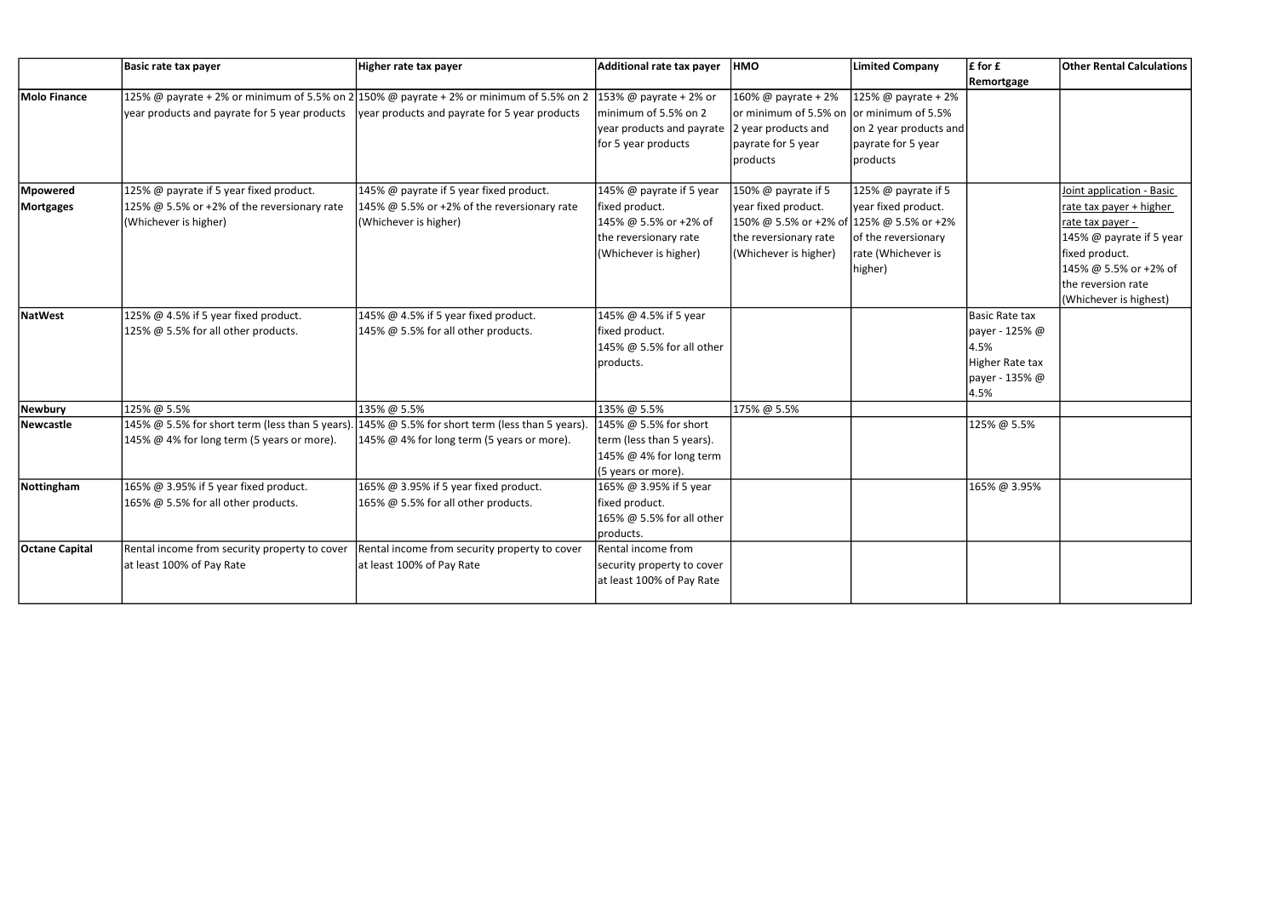|                       | <b>Basic rate tax payer</b>                   | Higher rate tax payer                                                                          | <b>Additional rate tax payer</b> | <b>HMO</b>                                       | <b>Limited Company</b> | $\mathsfsf{f}$ for $\mathsf{f}$ | <b>Other Rental Calculations</b> |
|-----------------------|-----------------------------------------------|------------------------------------------------------------------------------------------------|----------------------------------|--------------------------------------------------|------------------------|---------------------------------|----------------------------------|
|                       |                                               |                                                                                                |                                  |                                                  |                        | Remortgage                      |                                  |
| <b>Molo Finance</b>   |                                               | 125% @ payrate + 2% or minimum of 5.5% on 2 150% @ payrate + 2% or minimum of 5.5% on 2        | $153\%$ @ payrate + 2% or        | 160% @ payrate + 2%                              | 125% @ payrate + 2%    |                                 |                                  |
|                       | year products and payrate for 5 year products | year products and payrate for 5 year products                                                  | minimum of 5.5% on 2             | or minimum of 5.5% on $\vert$ or minimum of 5.5% |                        |                                 |                                  |
|                       |                                               |                                                                                                | year products and payrate        | 2 year products and                              | on 2 year products and |                                 |                                  |
|                       |                                               |                                                                                                | for 5 year products              | payrate for 5 year                               | payrate for 5 year     |                                 |                                  |
|                       |                                               |                                                                                                |                                  | products                                         | products               |                                 |                                  |
| Mpowered              | 125% @ payrate if 5 year fixed product.       | 145% @ payrate if 5 year fixed product.                                                        | 145% @ payrate if 5 year         | 150% @ payrate if 5                              | 125% @ payrate if 5    |                                 | Joint application - Basic        |
| Mortgages             | 125% @ 5.5% or +2% of the reversionary rate   | 145% @ 5.5% or +2% of the reversionary rate                                                    | fixed product.                   | year fixed product.                              | year fixed product.    |                                 | rate tax payer + higher          |
|                       | (Whichever is higher)                         | (Whichever is higher)                                                                          | 145% @ 5.5% or +2% of            | 150% @ 5.5% or +2% of 125% @ 5.5% or +2%         |                        |                                 | rate tax payer -                 |
|                       |                                               |                                                                                                | the reversionary rate            | the reversionary rate                            | of the reversionary    |                                 | 145% @ payrate if 5 year         |
|                       |                                               |                                                                                                | (Whichever is higher)            | (Whichever is higher)                            | rate (Whichever is     |                                 | fixed product.                   |
|                       |                                               |                                                                                                |                                  |                                                  | higher)                |                                 | 145% @ 5.5% or +2% of            |
|                       |                                               |                                                                                                |                                  |                                                  |                        |                                 | the reversion rate               |
|                       |                                               |                                                                                                |                                  |                                                  |                        |                                 | (Whichever is highest)           |
| NatWest               | 125% @ 4.5% if 5 year fixed product.          | 145% @ 4.5% if 5 year fixed product.                                                           | 145% @ 4.5% if 5 year            |                                                  |                        | Basic Rate tax                  |                                  |
|                       | 125% @ 5.5% for all other products.           | 145% @ 5.5% for all other products.                                                            | fixed product.                   |                                                  |                        | payer - 125% @                  |                                  |
|                       |                                               |                                                                                                | 145% @ 5.5% for all other        |                                                  |                        | 4.5%                            |                                  |
|                       |                                               |                                                                                                | products.                        |                                                  |                        | Higher Rate tax                 |                                  |
|                       |                                               |                                                                                                |                                  |                                                  |                        | payer - 135% @                  |                                  |
|                       |                                               |                                                                                                |                                  |                                                  |                        | 4.5%                            |                                  |
| Newbury               | 125% @ 5.5%                                   | 135% @ 5.5%                                                                                    | 135% @ 5.5%                      | 175% @ 5.5%                                      |                        |                                 |                                  |
| Newcastle             |                                               | 145% @ 5.5% for short term (less than 5 years). 145% @ 5.5% for short term (less than 5 years) | 145% @ 5.5% for short            |                                                  |                        | 125% @ 5.5%                     |                                  |
|                       | 145% @ 4% for long term (5 years or more).    | 145% @ 4% for long term (5 years or more).                                                     | term (less than 5 years).        |                                                  |                        |                                 |                                  |
|                       |                                               |                                                                                                | 145% @ 4% for long term          |                                                  |                        |                                 |                                  |
|                       |                                               |                                                                                                | (5 years or more).               |                                                  |                        |                                 |                                  |
| Nottingham            | 165% @ 3.95% if 5 year fixed product.         | 165% @ 3.95% if 5 year fixed product.                                                          | 165% @ 3.95% if 5 year           |                                                  |                        | 165% @ 3.95%                    |                                  |
|                       | 165% @ 5.5% for all other products.           | 165% @ 5.5% for all other products.                                                            | fixed product.                   |                                                  |                        |                                 |                                  |
|                       |                                               |                                                                                                | 165% @ 5.5% for all other        |                                                  |                        |                                 |                                  |
|                       |                                               |                                                                                                | products.                        |                                                  |                        |                                 |                                  |
| <b>Octane Capital</b> | Rental income from security property to cover | Rental income from security property to cover                                                  | Rental income from               |                                                  |                        |                                 |                                  |
|                       | at least 100% of Pay Rate                     | at least 100% of Pay Rate                                                                      | security property to cover       |                                                  |                        |                                 |                                  |
|                       |                                               |                                                                                                | at least 100% of Pay Rate        |                                                  |                        |                                 |                                  |
|                       |                                               |                                                                                                |                                  |                                                  |                        |                                 |                                  |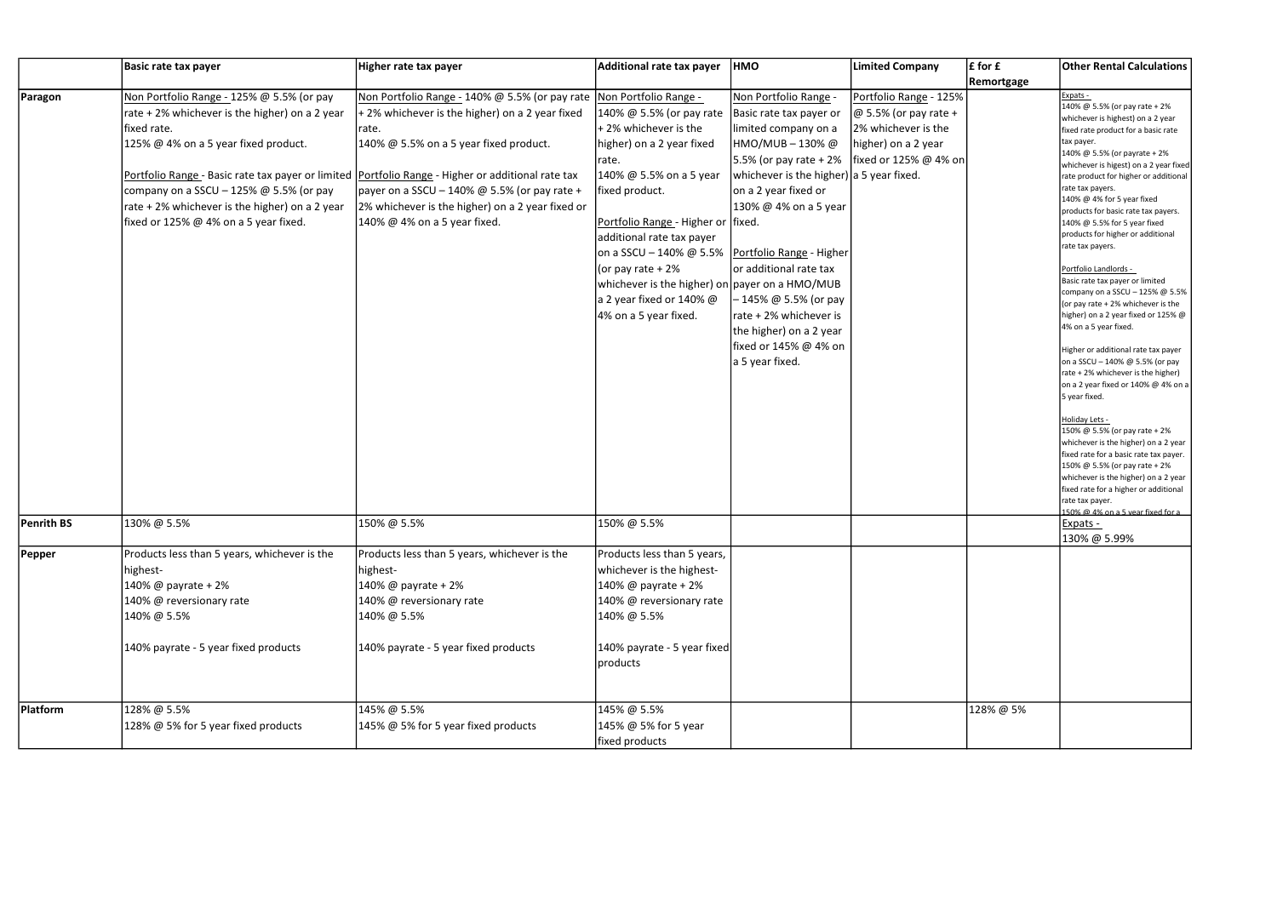|                   | <b>Basic rate tax payer</b>                                                                                                                                                                                                                                                                                                                                                                          | Higher rate tax payer                                                                                                                                                                                                                                                                        | <b>Additional rate tax payer</b>                                                                                                                                                                                                                                                                                                                                                                                            | <b>HMO</b>                                                                                                                                                                                                                                                                                                                                                                | Limited Company                                                                                                               | $\mathsfsf$ for $\mathsf f$ | <b>Other Rental Calculations</b>                                                                                                                                                                                                                                                                                                                                                                                                                                                                                                                                                                                                                                                                                                                                                                                                                                                                                                                                                                                                                                                                                                          |
|-------------------|------------------------------------------------------------------------------------------------------------------------------------------------------------------------------------------------------------------------------------------------------------------------------------------------------------------------------------------------------------------------------------------------------|----------------------------------------------------------------------------------------------------------------------------------------------------------------------------------------------------------------------------------------------------------------------------------------------|-----------------------------------------------------------------------------------------------------------------------------------------------------------------------------------------------------------------------------------------------------------------------------------------------------------------------------------------------------------------------------------------------------------------------------|---------------------------------------------------------------------------------------------------------------------------------------------------------------------------------------------------------------------------------------------------------------------------------------------------------------------------------------------------------------------------|-------------------------------------------------------------------------------------------------------------------------------|-----------------------------|-------------------------------------------------------------------------------------------------------------------------------------------------------------------------------------------------------------------------------------------------------------------------------------------------------------------------------------------------------------------------------------------------------------------------------------------------------------------------------------------------------------------------------------------------------------------------------------------------------------------------------------------------------------------------------------------------------------------------------------------------------------------------------------------------------------------------------------------------------------------------------------------------------------------------------------------------------------------------------------------------------------------------------------------------------------------------------------------------------------------------------------------|
|                   |                                                                                                                                                                                                                                                                                                                                                                                                      |                                                                                                                                                                                                                                                                                              |                                                                                                                                                                                                                                                                                                                                                                                                                             |                                                                                                                                                                                                                                                                                                                                                                           |                                                                                                                               | <b>Remortgage</b>           |                                                                                                                                                                                                                                                                                                                                                                                                                                                                                                                                                                                                                                                                                                                                                                                                                                                                                                                                                                                                                                                                                                                                           |
| <b>Paragon</b>    | Non Portfolio Range - 125% @ 5.5% (or pay<br>rate + 2% whichever is the higher) on a 2 year<br>fixed rate.<br>125% @ 4% on a 5 year fixed product.<br>Portfolio Range - Basic rate tax payer or limited Portfolio Range - Higher or additional rate tax<br>company on a SSCU – 125% @ 5.5% (or pay<br>rate + 2% whichever is the higher) on a 2 year<br>fixed or 125% $\omega$ 4% on a 5 year fixed. | Non Portfolio Range - 140% @ 5.5% (or pay rate<br>+2% whichever is the higher) on a 2 year fixed<br>rate.<br>140% @ 5.5% on a 5 year fixed product.<br>payer on a SSCU $-$ 140% @ 5.5% (or pay rate +<br>2% whichever is the higher) on a 2 year fixed or<br>$140\%$ @ 4% on a 5 year fixed. | Non Portfolio Range -<br>140% @ 5.5% (or pay rate<br>+2% whichever is the<br>higher) on a 2 year fixed<br>rate.<br>140% @ 5.5% on a 5 year<br> fixed product.<br>Portfolio Range - Higher or   fixed.<br>additional rate tax payer<br>on a SSCU - 140% @ 5.5%   Portfolio Range - Higher<br>(or pay rate + 2%<br>whichever is the higher) on payer on a HMO/MUB<br>a 2 year fixed or 140% $\omega$<br>4% on a 5 year fixed. | Non Portfolio Range -<br>Basic rate tax payer or<br>limited company on a<br> HMO/MUB – 130% @<br>5.5% (or pay rate + 2%<br> whichever is the higher) a 5 year fixed.<br>on a 2 year fixed or<br>130% @ 4% on a 5 year<br>or additional rate tax<br>– 145% @ 5.5% (or pay<br>rate + 2% whichever is<br>the higher) on a 2 year<br>fixed or 145% @ 4% on<br>a 5 year fixed. | Portfolio Range - 125%<br>$\omega$ 5.5% (or pay rate +<br>2% whichever is the<br>higher) on a 2 year<br>fixed or 125% @ 4% on |                             | Expats -<br>140% @ 5.5% (or pay rate + 2%<br>whichever is highest) on a 2 year<br>fixed rate product for a basic rate<br>tax payer.<br>140% @ 5.5% (or payrate + 2%<br>whichever is higest) on a 2 year fixed<br>rate product for higher or additional<br>rate tax payers.<br>140% @ 4% for 5 year fixed<br>products for basic rate tax payers.<br>140% @ 5.5% for 5 year fixed<br>products for higher or additional<br>rate tax payers.<br>Portfolio Landlords -<br>Basic rate tax payer or limited<br>company on a SSCU - 125% @ 5.5%<br>(or pay rate $+2\%$ whichever is the<br>higher) on a 2 year fixed or 125% @<br>4% on a 5 year fixed.<br>Higher or additional rate tax payer<br>on a SSCU - 140% @ 5.5% (or pay<br>rate + 2% whichever is the higher)<br>on a 2 year fixed or 140% @ 4% on a<br>5 year fixed.<br>Holiday Lets -<br>150% @ 5.5% (or pay rate + 2%<br>whichever is the higher) on a 2 year<br>fixed rate for a basic rate tax payer.<br>150% @ 5.5% (or pay rate + 2%<br>whichever is the higher) on a 2 year<br>fixed rate for a higher or additional<br>rate tax payer.<br>$150\%$ @ 4% on a 5 year fixed for a |
| <b>Penrith BS</b> | 130% @ 5.5%                                                                                                                                                                                                                                                                                                                                                                                          | 150% @ 5.5%                                                                                                                                                                                                                                                                                  | 150% @ 5.5%                                                                                                                                                                                                                                                                                                                                                                                                                 |                                                                                                                                                                                                                                                                                                                                                                           |                                                                                                                               |                             | Expats -<br>130% @ 5.99%                                                                                                                                                                                                                                                                                                                                                                                                                                                                                                                                                                                                                                                                                                                                                                                                                                                                                                                                                                                                                                                                                                                  |
| <b>Pepper</b>     | Products less than 5 years, whichever is the<br>highest-<br>140% @ payrate + 2%<br>140% @ reversionary rate<br>140% @ 5.5%<br>140% payrate - 5 year fixed products                                                                                                                                                                                                                                   | Products less than 5 years, whichever is the<br>highest-<br>140% @ payrate + 2%<br>140% @ reversionary rate<br>140% @ 5.5%<br>140% payrate - 5 year fixed products                                                                                                                           | Products less than 5 years,<br>whichever is the highest-<br>140% @ payrate + 2%<br>140% @ reversionary rate<br>140% @ 5.5%<br>140% payrate - 5 year fixed<br>products                                                                                                                                                                                                                                                       |                                                                                                                                                                                                                                                                                                                                                                           |                                                                                                                               |                             |                                                                                                                                                                                                                                                                                                                                                                                                                                                                                                                                                                                                                                                                                                                                                                                                                                                                                                                                                                                                                                                                                                                                           |
| Platform          | 128% @ 5.5%<br>128% @ 5% for 5 year fixed products                                                                                                                                                                                                                                                                                                                                                   | 145% @ 5.5%<br>145% @ 5% for 5 year fixed products                                                                                                                                                                                                                                           | 145% @ 5.5%<br>145% @ 5% for 5 year<br>fixed products                                                                                                                                                                                                                                                                                                                                                                       |                                                                                                                                                                                                                                                                                                                                                                           |                                                                                                                               | 128% @ 5%                   |                                                                                                                                                                                                                                                                                                                                                                                                                                                                                                                                                                                                                                                                                                                                                                                                                                                                                                                                                                                                                                                                                                                                           |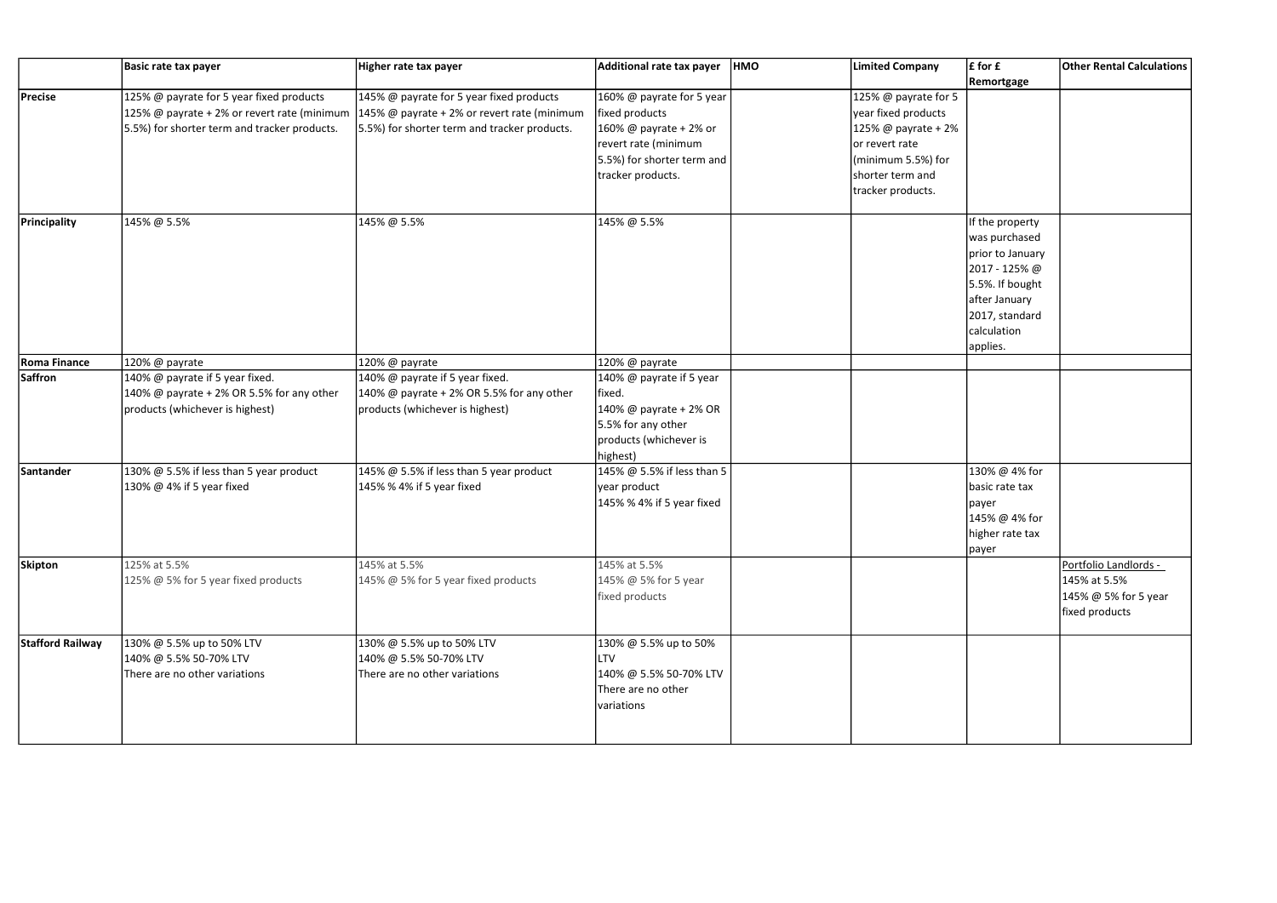| £ for £                         | <b>Other Rental Calculations</b> |
|---------------------------------|----------------------------------|
| Remortgage                      |                                  |
|                                 |                                  |
|                                 |                                  |
|                                 |                                  |
|                                 |                                  |
|                                 |                                  |
|                                 |                                  |
|                                 |                                  |
|                                 |                                  |
| If the property                 |                                  |
| was purchased                   |                                  |
| prior to January                |                                  |
| 2017 - 125% @                   |                                  |
| 5.5%. If bought                 |                                  |
| after January                   |                                  |
| 2017, standard                  |                                  |
| calculation                     |                                  |
| applies.                        |                                  |
|                                 |                                  |
|                                 |                                  |
|                                 |                                  |
|                                 |                                  |
|                                 |                                  |
|                                 |                                  |
|                                 |                                  |
| 130% @ 4% for<br>basic rate tax |                                  |
|                                 |                                  |
| payer<br>145% @ 4% for          |                                  |
| higher rate tax                 |                                  |
| payer                           |                                  |
|                                 | Portfolio Landlords -            |
|                                 | 145% at 5.5%                     |
|                                 | 145% @ 5% for 5 year             |
|                                 | fixed products                   |
|                                 |                                  |
|                                 |                                  |
|                                 |                                  |
|                                 |                                  |
|                                 |                                  |
|                                 |                                  |
|                                 |                                  |
|                                 |                                  |

|                         | <b>Basic rate tax payer</b>                                                                                                             | Higher rate tax payer                                                                                                                       | Additional rate tax payer                                                                                                                        | <b>HMO</b> | <b>Limited Company</b>                                                                                                                              | $\mathbf{f}$ for $\mathbf{f}$                                                                                                                           |
|-------------------------|-----------------------------------------------------------------------------------------------------------------------------------------|---------------------------------------------------------------------------------------------------------------------------------------------|--------------------------------------------------------------------------------------------------------------------------------------------------|------------|-----------------------------------------------------------------------------------------------------------------------------------------------------|---------------------------------------------------------------------------------------------------------------------------------------------------------|
|                         |                                                                                                                                         |                                                                                                                                             |                                                                                                                                                  |            |                                                                                                                                                     | <b>Remortgage</b>                                                                                                                                       |
| <b>Precise</b>          | 125% @ payrate for 5 year fixed products<br>125% @ payrate + 2% or revert rate (minimum<br>5.5%) for shorter term and tracker products. | 145% @ payrate for 5 year fixed products<br>$145\%$ @ payrate + 2% or revert rate (minimum<br>[5.5%] for shorter term and tracker products. | 160% @ payrate for 5 year<br>fixed products<br>160% @ payrate + 2% or<br>revert rate (minimum<br>5.5%) for shorter term and<br>tracker products. |            | 125% @ payrate for 5<br>year fixed products<br>125% @ payrate + 2%<br>or revert rate<br>(minimum 5.5%) for<br>shorter term and<br>tracker products. |                                                                                                                                                         |
| Principality            | 145% @ 5.5%                                                                                                                             | 145% @ 5.5%                                                                                                                                 | 145% @ 5.5%                                                                                                                                      |            |                                                                                                                                                     | If the property<br>was purchased<br>prior to January<br> 2017 - 125% @<br>5.5%. If bought<br>after January<br>2017, standard<br>calculation<br>applies. |
| <b>Roma Finance</b>     | 120% @ payrate                                                                                                                          | 120% @ payrate                                                                                                                              | 120% @ payrate                                                                                                                                   |            |                                                                                                                                                     |                                                                                                                                                         |
| <b>Saffron</b>          | 140% @ payrate if 5 year fixed.<br>140% @ payrate + 2% OR 5.5% for any other<br>products (whichever is highest)                         | 140% $\omega$ payrate if 5 year fixed.<br>140% @ payrate + 2% OR 5.5% for any other<br>products (whichever is highest)                      | 140% @ payrate if 5 year<br>fixed.<br>140% @ payrate + 2% OR<br>5.5% for any other<br>products (whichever is<br>highest)                         |            |                                                                                                                                                     |                                                                                                                                                         |
| Santander               | 130% @ 5.5% if less than 5 year product<br>130% @ 4% if 5 year fixed                                                                    | $145\%$ @ 5.5% if less than 5 year product<br>145% % 4% if 5 year fixed                                                                     | 145% @ 5.5% if less than 5<br>year product<br>145% % 4% if 5 year fixed                                                                          |            |                                                                                                                                                     | 130% @ 4% for<br>basic rate tax<br> payer<br>145% @ 4% for<br>higher rate tax<br> payer                                                                 |
| <b>Skipton</b>          | 125% at 5.5%<br>125% @ 5% for 5 year fixed products                                                                                     | 145% at 5.5%<br>145% @ 5% for 5 year fixed products                                                                                         | 145% at 5.5%<br>145% @ 5% for 5 year<br>fixed products                                                                                           |            |                                                                                                                                                     |                                                                                                                                                         |
| <b>Stafford Railway</b> | 130% @ 5.5% up to 50% LTV<br> 140% @ 5.5% 50-70% LTV<br>There are no other variations                                                   | 130% @ 5.5% up to 50% LTV<br>140% @ 5.5% 50-70% LTV<br>There are no other variations                                                        | 130% @ 5.5% up to 50%<br>LTV<br>140% @ 5.5% 50-70% LTV<br>There are no other<br>variations                                                       |            |                                                                                                                                                     |                                                                                                                                                         |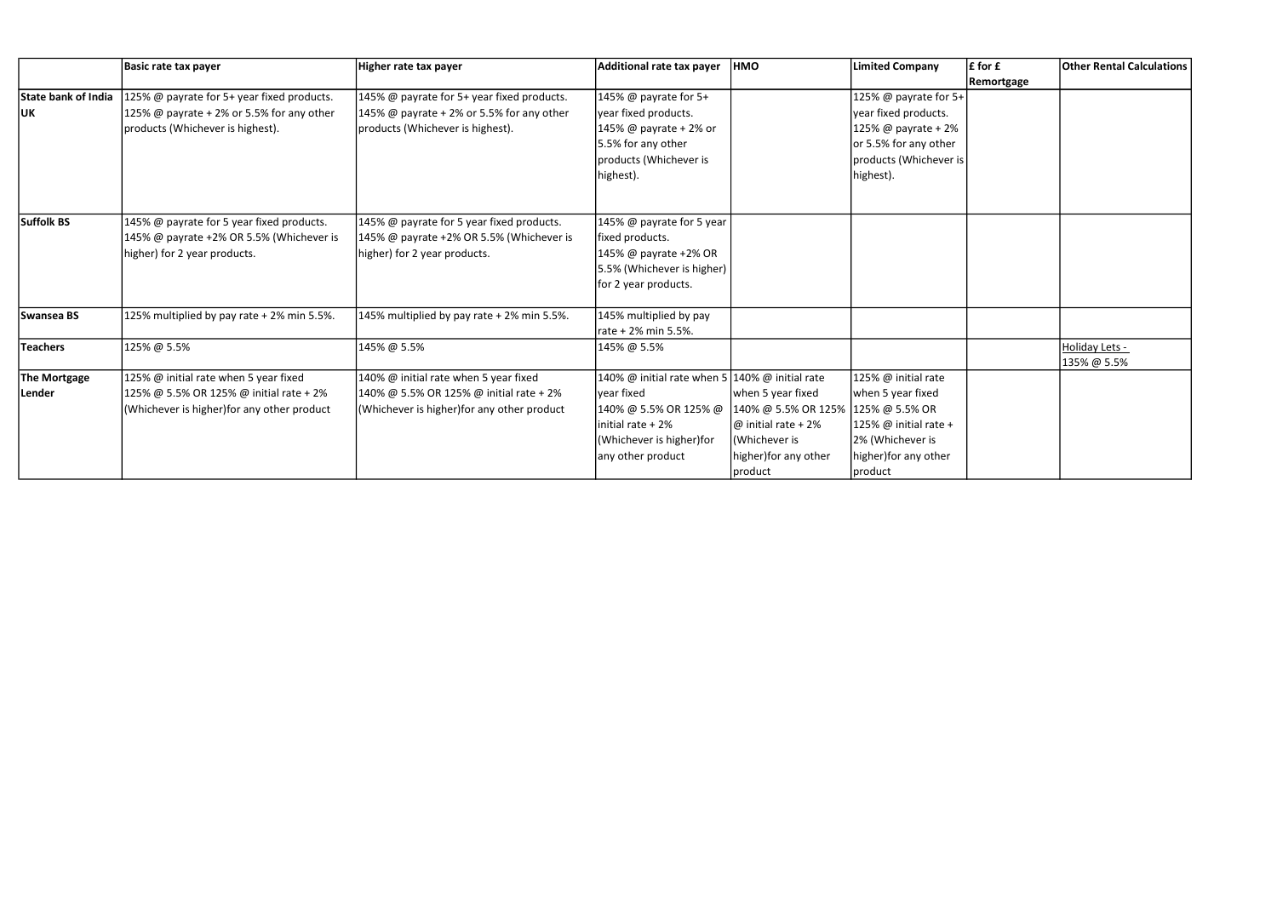|                     | Basic rate tax payer                       | Higher rate tax payer                       | Additional rate tax payer                      | <b>HMO</b>                         | <b>Limited Company</b> | $\mathsfsf{E}$ for $\mathsf E$ | <b>Other Rental Calculations</b> |
|---------------------|--------------------------------------------|---------------------------------------------|------------------------------------------------|------------------------------------|------------------------|--------------------------------|----------------------------------|
|                     |                                            |                                             |                                                |                                    |                        | Remortgage                     |                                  |
| State bank of India | 125% @ payrate for 5+ year fixed products. | 145% @ payrate for 5+ year fixed products.  | 145% @ payrate for 5+                          |                                    | 125% @ payrate for 5+  |                                |                                  |
| <b>UK</b>           | 125% @ payrate + 2% or 5.5% for any other  | 145% @ payrate + 2% or 5.5% for any other   | year fixed products.                           |                                    | year fixed products.   |                                |                                  |
|                     | products (Whichever is highest).           | products (Whichever is highest).            | $145%$ @ payrate + 2% or                       |                                    | 125% @ payrate + 2%    |                                |                                  |
|                     |                                            |                                             | 5.5% for any other                             |                                    | or 5.5% for any other  |                                |                                  |
|                     |                                            |                                             | products (Whichever is                         |                                    | products (Whichever is |                                |                                  |
|                     |                                            |                                             | highest).                                      |                                    | highest).              |                                |                                  |
| <b>Suffolk BS</b>   | 145% @ payrate for 5 year fixed products.  | 145% @ payrate for 5 year fixed products.   | 145% @ payrate for 5 year                      |                                    |                        |                                |                                  |
|                     | 145% @ payrate +2% OR 5.5% (Whichever is   | 145% @ payrate +2% OR 5.5% (Whichever is    | fixed products.                                |                                    |                        |                                |                                  |
|                     | higher) for 2 year products.               | higher) for 2 year products.                | 145% @ payrate +2% OR                          |                                    |                        |                                |                                  |
|                     |                                            |                                             | 5.5% (Whichever is higher)                     |                                    |                        |                                |                                  |
|                     |                                            |                                             | for 2 year products.                           |                                    |                        |                                |                                  |
| Swansea BS          | 125% multiplied by pay rate + 2% min 5.5%. | 145% multiplied by pay rate + 2% min 5.5%.  | 145% multiplied by pay                         |                                    |                        |                                |                                  |
|                     |                                            |                                             | rate + 2% min 5.5%.                            |                                    |                        |                                |                                  |
| Teachers            | 125% @ 5.5%                                | 145% @ 5.5%                                 | 145% @ 5.5%                                    |                                    |                        |                                | Holiday Lets -                   |
|                     |                                            |                                             |                                                |                                    |                        |                                | 135% @ 5.5%                      |
| The Mortgage        | 125% @ initial rate when 5 year fixed      | 140% @ initial rate when 5 year fixed       | 140% @ initial rate when 5 140% @ initial rate |                                    | 125% @ initial rate    |                                |                                  |
| Lender              | 125% @ 5.5% OR 125% @ initial rate + 2%    | 140% @ 5.5% OR 125% @ initial rate + 2%     | lvear fixed                                    | when 5 year fixed                  | when 5 year fixed      |                                |                                  |
|                     | (Whichever is higher)for any other product | (Whichever is higher) for any other product | 140% @ 5.5% OR 125% @                          | 140% @ 5.5% OR 125% 125% @ 5.5% OR |                        |                                |                                  |
|                     |                                            |                                             | linitial rate + 2%                             | $\omega$ initial rate + 2%         | 125% @ initial rate +  |                                |                                  |
|                     |                                            |                                             | (Whichever is higher)for                       | Whichever is                       | 2% (Whichever is       |                                |                                  |
|                     |                                            |                                             | any other product                              | higher) for any other              | higher) for any other  |                                |                                  |
|                     |                                            |                                             |                                                | product                            | product                |                                |                                  |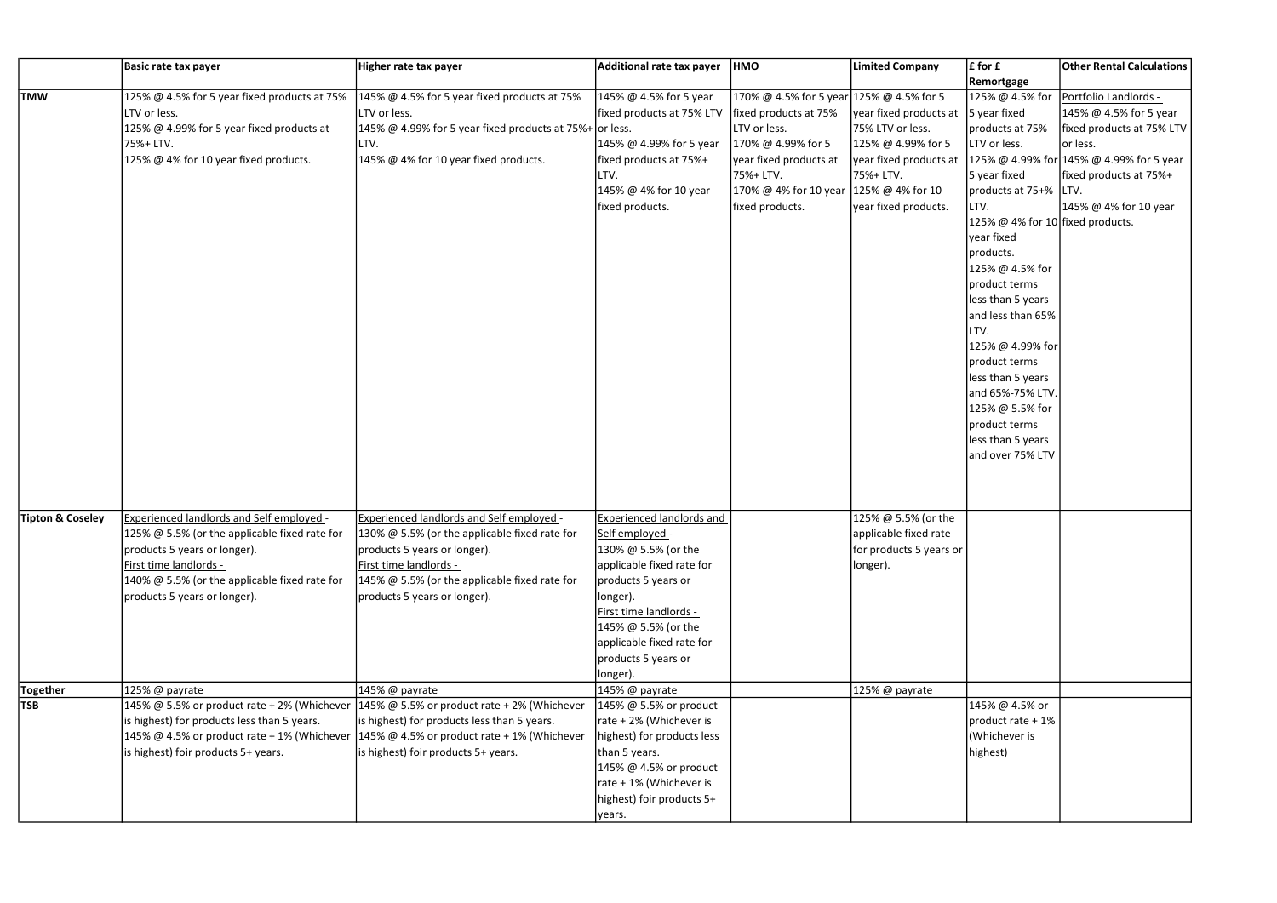|                  | <b>Basic rate tax payer</b>                   | Higher rate tax payer                                                                        | <b>Additional rate tax payer</b> | <b>HMO</b>                               | <b>Limited Company</b>  | $E$ for $E$                      | <b>Other Rental Calculations</b>         |
|------------------|-----------------------------------------------|----------------------------------------------------------------------------------------------|----------------------------------|------------------------------------------|-------------------------|----------------------------------|------------------------------------------|
|                  |                                               |                                                                                              |                                  |                                          |                         |                                  |                                          |
|                  |                                               |                                                                                              |                                  |                                          |                         | Remortgage                       |                                          |
| <b>TMW</b>       | 125% @ 4.5% for 5 year fixed products at 75%  | 145% @ 4.5% for 5 year fixed products at 75%                                                 | 145% @ 4.5% for 5 year           | 170% @ 4.5% for 5 year 125% @ 4.5% for 5 |                         | 125% @ 4.5% for                  | Portfolio Landlords -                    |
|                  | LTV or less.                                  | LTV or less.                                                                                 | fixed products at 75% LTV        | fixed products at 75%                    | year fixed products at  | 5 year fixed                     | 145% @ 4.5% for 5 year                   |
|                  | 125% @ 4.99% for 5 year fixed products at     | 145% @ 4.99% for 5 year fixed products at 75%+ or less.                                      |                                  | LTV or less.                             | 75% LTV or less.        | products at 75%                  | fixed products at 75% LTV                |
|                  | 75%+ LTV.                                     | LTV.                                                                                         | 145% @ 4.99% for 5 year          | 170% @ 4.99% for 5                       | 125% @ 4.99% for 5      | LTV or less.                     | or less.                                 |
|                  | 125% @ 4% for 10 year fixed products.         | 145% @ 4% for 10 year fixed products.                                                        | fixed products at 75%+           | year fixed products at                   | year fixed products at  |                                  | 125% @ 4.99% for 145% @ 4.99% for 5 year |
|                  |                                               |                                                                                              | LTV.                             | 75%+ LTV.                                | 75%+ LTV.               | 5 year fixed                     | fixed products at 75%+                   |
|                  |                                               |                                                                                              | 145% @ 4% for 10 year            | 170% @ 4% for 10 year                    | 125% @ 4% for 10        | products at 75+% LTV.            |                                          |
|                  |                                               |                                                                                              | fixed products.                  | fixed products.                          | year fixed products.    | LTV.                             | 145% @ 4% for 10 year                    |
|                  |                                               |                                                                                              |                                  |                                          |                         |                                  |                                          |
|                  |                                               |                                                                                              |                                  |                                          |                         | 125% @ 4% for 10 fixed products. |                                          |
|                  |                                               |                                                                                              |                                  |                                          |                         | year fixed                       |                                          |
|                  |                                               |                                                                                              |                                  |                                          |                         | products.                        |                                          |
|                  |                                               |                                                                                              |                                  |                                          |                         | 125% @ 4.5% for                  |                                          |
|                  |                                               |                                                                                              |                                  |                                          |                         | product terms                    |                                          |
|                  |                                               |                                                                                              |                                  |                                          |                         | less than 5 years                |                                          |
|                  |                                               |                                                                                              |                                  |                                          |                         | and less than 65%                |                                          |
|                  |                                               |                                                                                              |                                  |                                          |                         | LTV.                             |                                          |
|                  |                                               |                                                                                              |                                  |                                          |                         | 125% @ 4.99% for                 |                                          |
|                  |                                               |                                                                                              |                                  |                                          |                         |                                  |                                          |
|                  |                                               |                                                                                              |                                  |                                          |                         | product terms                    |                                          |
|                  |                                               |                                                                                              |                                  |                                          |                         | less than 5 years                |                                          |
|                  |                                               |                                                                                              |                                  |                                          |                         | and 65%-75% LTV.                 |                                          |
|                  |                                               |                                                                                              |                                  |                                          |                         | 125% @ 5.5% for                  |                                          |
|                  |                                               |                                                                                              |                                  |                                          |                         | product terms                    |                                          |
|                  |                                               |                                                                                              |                                  |                                          |                         | less than 5 years                |                                          |
|                  |                                               |                                                                                              |                                  |                                          |                         | and over 75% LTV                 |                                          |
|                  |                                               |                                                                                              |                                  |                                          |                         |                                  |                                          |
|                  |                                               |                                                                                              |                                  |                                          |                         |                                  |                                          |
|                  |                                               |                                                                                              |                                  |                                          |                         |                                  |                                          |
|                  |                                               |                                                                                              |                                  |                                          |                         |                                  |                                          |
| Tipton & Coseley | Experienced landlords and Self employed -     | <b>Experienced landlords and Self employed -</b>                                             | Experienced landlords and        |                                          | 125% @ 5.5% (or the     |                                  |                                          |
|                  |                                               | 125% @ 5.5% (or the applicable fixed rate for  130% @ 5.5% (or the applicable fixed rate for | Self employed -                  |                                          | applicable fixed rate   |                                  |                                          |
|                  | products 5 years or longer).                  | products 5 years or longer).                                                                 | 130% @ 5.5% (or the              |                                          | for products 5 years or |                                  |                                          |
|                  | First time landlords -                        | First time landlords -                                                                       | applicable fixed rate for        |                                          | longer).                |                                  |                                          |
|                  | 140% @ 5.5% (or the applicable fixed rate for | 145% @ 5.5% (or the applicable fixed rate for                                                | products 5 years or              |                                          |                         |                                  |                                          |
|                  | products 5 years or longer).                  | products 5 years or longer).                                                                 | longer).                         |                                          |                         |                                  |                                          |
|                  |                                               |                                                                                              | First time landlords -           |                                          |                         |                                  |                                          |
|                  |                                               |                                                                                              | 145% @ 5.5% (or the              |                                          |                         |                                  |                                          |
|                  |                                               |                                                                                              |                                  |                                          |                         |                                  |                                          |
|                  |                                               |                                                                                              | applicable fixed rate for        |                                          |                         |                                  |                                          |
|                  |                                               |                                                                                              | products 5 years or              |                                          |                         |                                  |                                          |
|                  |                                               |                                                                                              | longer).                         |                                          |                         |                                  |                                          |
| Together         | 125% @ payrate                                | 145% @ payrate                                                                               | 145% @ payrate                   |                                          | 125% @ payrate          |                                  |                                          |
| <b>TSB</b>       | 145% @ 5.5% or product rate + 2% (Whichever   | 145% @ 5.5% or product rate + 2% (Whichever                                                  | 145% @ 5.5% or product           |                                          |                         | 145% @ 4.5% or                   |                                          |
|                  | is highest) for products less than 5 years.   | is highest) for products less than 5 years.                                                  | rate + 2% (Whichever is          |                                          |                         | product rate + 1%                |                                          |
|                  | 145% @ 4.5% or product rate + 1% (Whichever   | 145% @ 4.5% or product rate + 1% (Whichever                                                  | highest) for products less       |                                          |                         | (Whichever is                    |                                          |
|                  | is highest) foir products 5+ years.           | is highest) foir products 5+ years.                                                          | than 5 years.                    |                                          |                         | highest)                         |                                          |
|                  |                                               |                                                                                              | 145% @ 4.5% or product           |                                          |                         |                                  |                                          |
|                  |                                               |                                                                                              |                                  |                                          |                         |                                  |                                          |
|                  |                                               |                                                                                              | rate + 1% (Whichever is          |                                          |                         |                                  |                                          |
|                  |                                               |                                                                                              | highest) foir products 5+        |                                          |                         |                                  |                                          |
|                  |                                               |                                                                                              | years.                           |                                          |                         |                                  |                                          |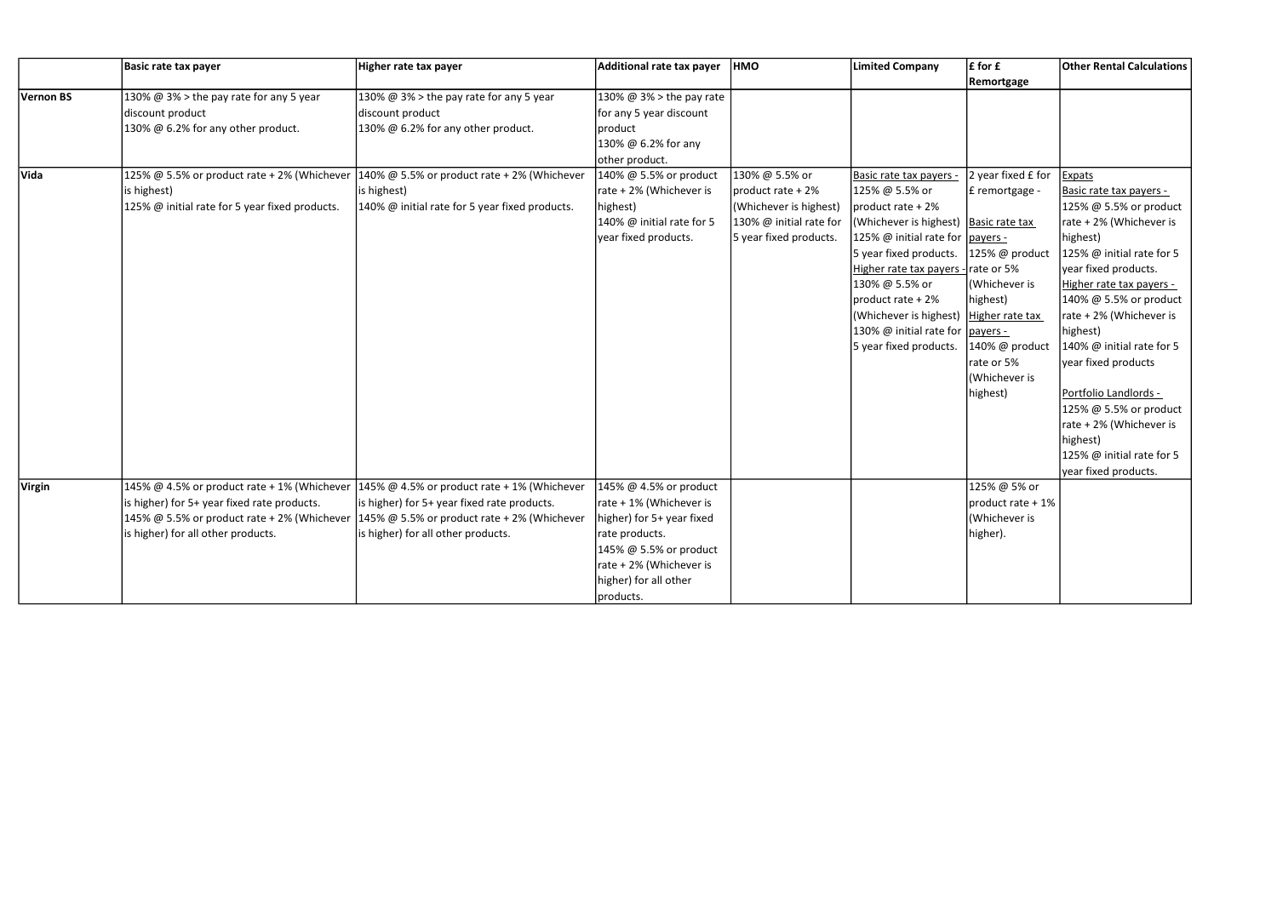|             | <b>Basic rate tax payer</b>                    | Higher rate tax payer                                                                   | Additional rate tax payer | <b>HMO</b>              | Limited Company                         | $\mathbf{f}$ for $\mathbf{f}$ | <b>Other Rental Calculations</b> |
|-------------|------------------------------------------------|-----------------------------------------------------------------------------------------|---------------------------|-------------------------|-----------------------------------------|-------------------------------|----------------------------------|
|             |                                                |                                                                                         |                           |                         |                                         | Remortgage                    |                                  |
| Vernon BS   | 130% @ 3% > the pay rate for any 5 year        | 130% $\omega$ 3% > the pay rate for any 5 year                                          | 130% @ 3% > the pay rate  |                         |                                         |                               |                                  |
|             | discount product                               | discount product                                                                        | for any 5 year discount   |                         |                                         |                               |                                  |
|             | 130% @ 6.2% for any other product.             | 130% $@$ 6.2% for any other product.                                                    | product                   |                         |                                         |                               |                                  |
|             |                                                |                                                                                         | 130% @ 6.2% for any       |                         |                                         |                               |                                  |
|             |                                                |                                                                                         | other product.            |                         |                                         |                               |                                  |
| <b>Vida</b> | 125% @ 5.5% or product rate + 2% (Whichever    | $140\%$ @ 5.5% or product rate + 2% (Whichever                                          | $140\%$ @ 5.5% or product | 130% @ 5.5% or          | Basic rate tax payers -                 | 2 year fixed £ for            | Expats                           |
|             | is highest)                                    | is highest)                                                                             | rate + 2% (Whichever is   | $ product rate + 2%$    | 125% @ 5.5% or                          | E remortgage -                | Basic rate tax payers -          |
|             | 125% @ initial rate for 5 year fixed products. | 140% @ initial rate for 5 year fixed products.                                          | highest)                  | (Whichever is highest)  | product rate + 2%                       |                               | 125% @ 5.5% or product           |
|             |                                                |                                                                                         | 140% @ initial rate for 5 | 130% @ initial rate for | (Whichever is highest)   Basic rate tax |                               | rate + 2% (Whichever is          |
|             |                                                |                                                                                         | year fixed products.      | 5 year fixed products.  | 125% @ initial rate for  payers -       |                               | highest)                         |
|             |                                                |                                                                                         |                           |                         | 5 year fixed products.   125% @ product |                               | 125% @ initial rate for 5        |
|             |                                                |                                                                                         |                           |                         | Higher rate tax payers - rate or 5%     |                               | year fixed products.             |
|             |                                                |                                                                                         |                           |                         | 130% @ 5.5% or                          | (Whichever is                 | Higher rate tax payers -         |
|             |                                                |                                                                                         |                           |                         | product rate + 2%                       | highest)                      | 140% @ 5.5% or product           |
|             |                                                |                                                                                         |                           |                         | (Whichever is highest)                  | Higher rate tax               | rate + 2% (Whichever is          |
|             |                                                |                                                                                         |                           |                         | 130% @ initial rate for payers -        |                               | highest)                         |
|             |                                                |                                                                                         |                           |                         | 5 year fixed products.                  | 140% @ product                | 140% @ initial rate for 5        |
|             |                                                |                                                                                         |                           |                         |                                         | rate or 5%                    | year fixed products              |
|             |                                                |                                                                                         |                           |                         |                                         | (Whichever is                 |                                  |
|             |                                                |                                                                                         |                           |                         |                                         | highest)                      | Portfolio Landlords -            |
|             |                                                |                                                                                         |                           |                         |                                         |                               | 125% @ 5.5% or product           |
|             |                                                |                                                                                         |                           |                         |                                         |                               | rate + 2% (Whichever is          |
|             |                                                |                                                                                         |                           |                         |                                         |                               | highest)                         |
|             |                                                |                                                                                         |                           |                         |                                         |                               | 125% @ initial rate for 5        |
|             |                                                |                                                                                         |                           |                         |                                         |                               | year fixed products.             |
| Virgin      |                                                | 145% @ 4.5% or product rate + 1% (Whichever 145% @ 4.5% or product rate + 1% (Whichever | $145\%$ @ 4.5% or product |                         |                                         | 125% @ 5% or                  |                                  |
|             | is higher) for 5+ year fixed rate products.    | is higher) for 5+ year fixed rate products.                                             | $rate + 1%$ (Whichever is |                         |                                         | product rate + 1%             |                                  |
|             | 145% @ 5.5% or product rate + 2% (Whichever    | $145\%$ @ 5.5% or product rate + 2% (Whichever                                          | higher) for 5+ year fixed |                         |                                         | (Whichever is                 |                                  |
|             | is higher) for all other products.             | is higher) for all other products.                                                      | rate products.            |                         |                                         | higher).                      |                                  |
|             |                                                |                                                                                         | 145% @ 5.5% or product    |                         |                                         |                               |                                  |
|             |                                                |                                                                                         | rate + 2% (Whichever is   |                         |                                         |                               |                                  |
|             |                                                |                                                                                         | higher) for all other     |                         |                                         |                               |                                  |
|             |                                                |                                                                                         | products.                 |                         |                                         |                               |                                  |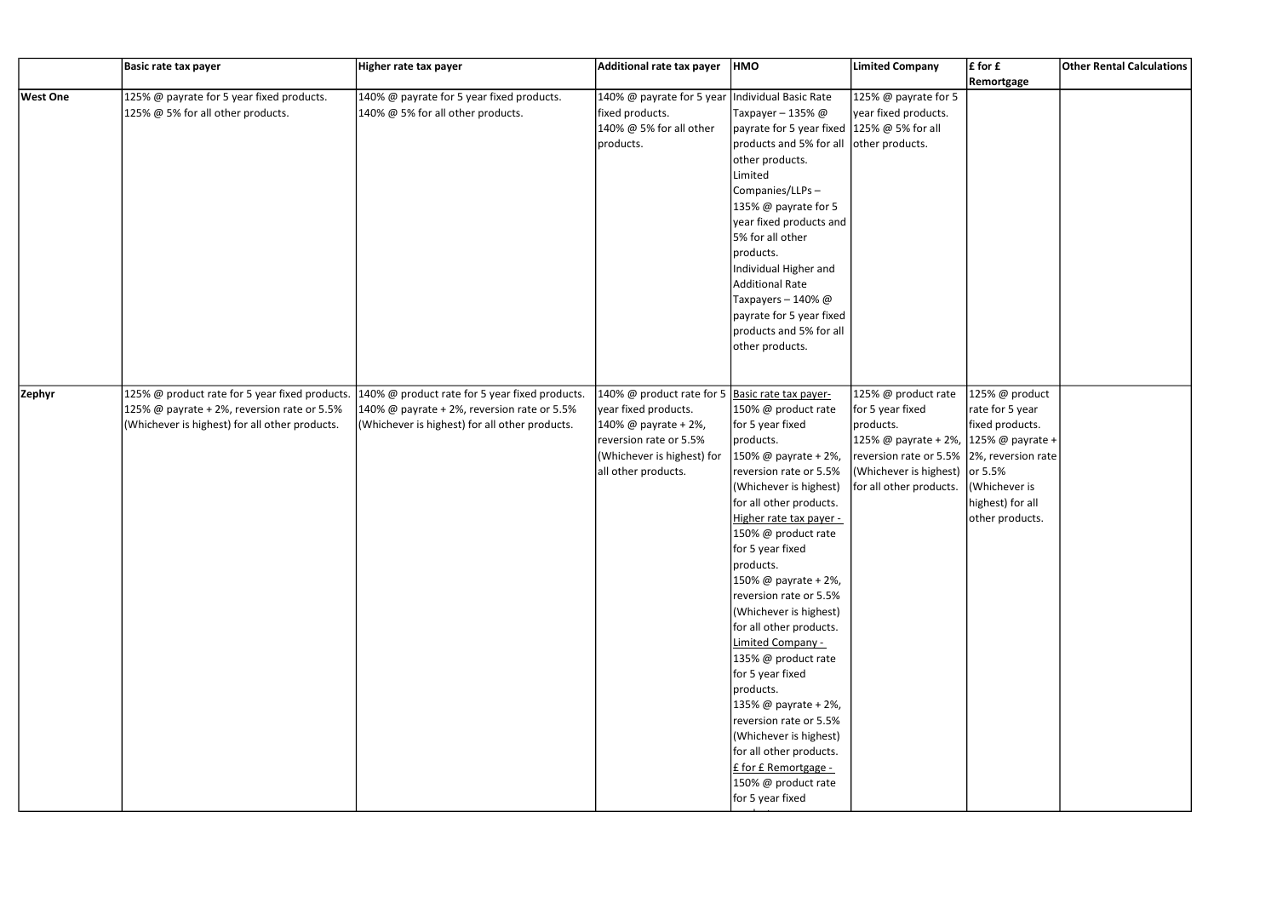|                 | <b>Basic rate tax payer</b>                                                                                                                     | Higher rate tax payer                                                                                                                           | <b>Additional rate tax payer</b>                                                                                                                                                | <b>HMO</b>                                                                                                                                                                                                                                                                                                                                                                                                                                                                                                                                                                                                   | Limited Company                                                                                                                                                                                           | $\mathbf f$ for $\mathbf f$                                                                                  | <b>Other Rental Calculations</b> |
|-----------------|-------------------------------------------------------------------------------------------------------------------------------------------------|-------------------------------------------------------------------------------------------------------------------------------------------------|---------------------------------------------------------------------------------------------------------------------------------------------------------------------------------|--------------------------------------------------------------------------------------------------------------------------------------------------------------------------------------------------------------------------------------------------------------------------------------------------------------------------------------------------------------------------------------------------------------------------------------------------------------------------------------------------------------------------------------------------------------------------------------------------------------|-----------------------------------------------------------------------------------------------------------------------------------------------------------------------------------------------------------|--------------------------------------------------------------------------------------------------------------|----------------------------------|
|                 |                                                                                                                                                 |                                                                                                                                                 |                                                                                                                                                                                 |                                                                                                                                                                                                                                                                                                                                                                                                                                                                                                                                                                                                              |                                                                                                                                                                                                           | Remortgage                                                                                                   |                                  |
| <b>West One</b> | 125% @ payrate for 5 year fixed products.<br>125% @ 5% for all other products.                                                                  | 140% @ payrate for 5 year fixed products.<br>140% @ 5% for all other products.                                                                  | 140% @ payrate for 5 year<br>fixed products.<br>140% @ 5% for all other<br>products.                                                                                            | Individual Basic Rate<br>Тахрауег – 135% @<br>payrate for 5 year fixed   125% @ 5% for all<br>products and 5% for all<br>other products.<br>Limited<br>Companies/LLPs-<br>135% @ payrate for 5<br>year fixed products and<br>5% for all other<br>products.<br>Individual Higher and<br>Additional Rate<br>Taxpayers - 140% @<br>payrate for 5 year fixed<br>products and 5% for all<br>other products.                                                                                                                                                                                                       | 125% @ payrate for 5<br>year fixed products.<br>other products.                                                                                                                                           |                                                                                                              |                                  |
| Zephyr          | 125% @ product rate for 5 year fixed products.<br>125% @ payrate + 2%, reversion rate or 5.5%<br>(Whichever is highest) for all other products. | 140% @ product rate for 5 year fixed products.<br>140% @ payrate + 2%, reversion rate or 5.5%<br>(Whichever is highest) for all other products. | 140% @ product rate for 5  Basic rate tax payer-<br>year fixed products.<br>140% @ payrate + 2%,<br>reversion rate or 5.5%<br>(Whichever is highest) for<br>all other products. | 150% @ product rate<br>for 5 year fixed<br>products.<br>150% @ payrate + 2%,<br>reversion rate or 5.5%<br>(Whichever is highest)<br>for all other products.<br>Higher rate tax payer -<br>150% @ product rate<br>for 5 year fixed<br>products.<br>150% @ payrate + 2%,<br>reversion rate or 5.5%<br>(Whichever is highest)<br>for all other products.<br>Limited Company -<br>135% @ product rate<br>for 5 year fixed<br>products.<br>135% @ payrate + 2%,<br>reversion rate or 5.5%<br>(Whichever is highest)<br>for all other products.<br>E for £ Remortgage -<br>150% @ product rate<br>for 5 year fixed | 125% @ product rate<br>for 5 year fixed<br>products.<br>125% @ payrate + 2%, 125% @ payrate +<br>reversion rate or 5.5% 2%, reversion rate<br>(Whichever is highest)   or 5.5%<br>for all other products. | 125% @ product<br>rate for 5 year<br>fixed products.<br>(Whichever is<br>highest) for all<br>other products. |                                  |

| $E$ for $E$                            | <b>Other Rental Calculations</b> |
|----------------------------------------|----------------------------------|
|                                        |                                  |
| Remortgage                             |                                  |
| 125% @ product                         |                                  |
| rate for 5 year<br>fixed products.     |                                  |
| 125% @ payrate +<br>2%, reversion rate |                                  |
| or 5.5%<br>(Whichever is               |                                  |
| highest) for all<br>other products.    |                                  |
|                                        |                                  |
|                                        |                                  |
|                                        |                                  |
|                                        |                                  |
|                                        |                                  |
|                                        |                                  |
|                                        |                                  |
|                                        |                                  |
|                                        |                                  |